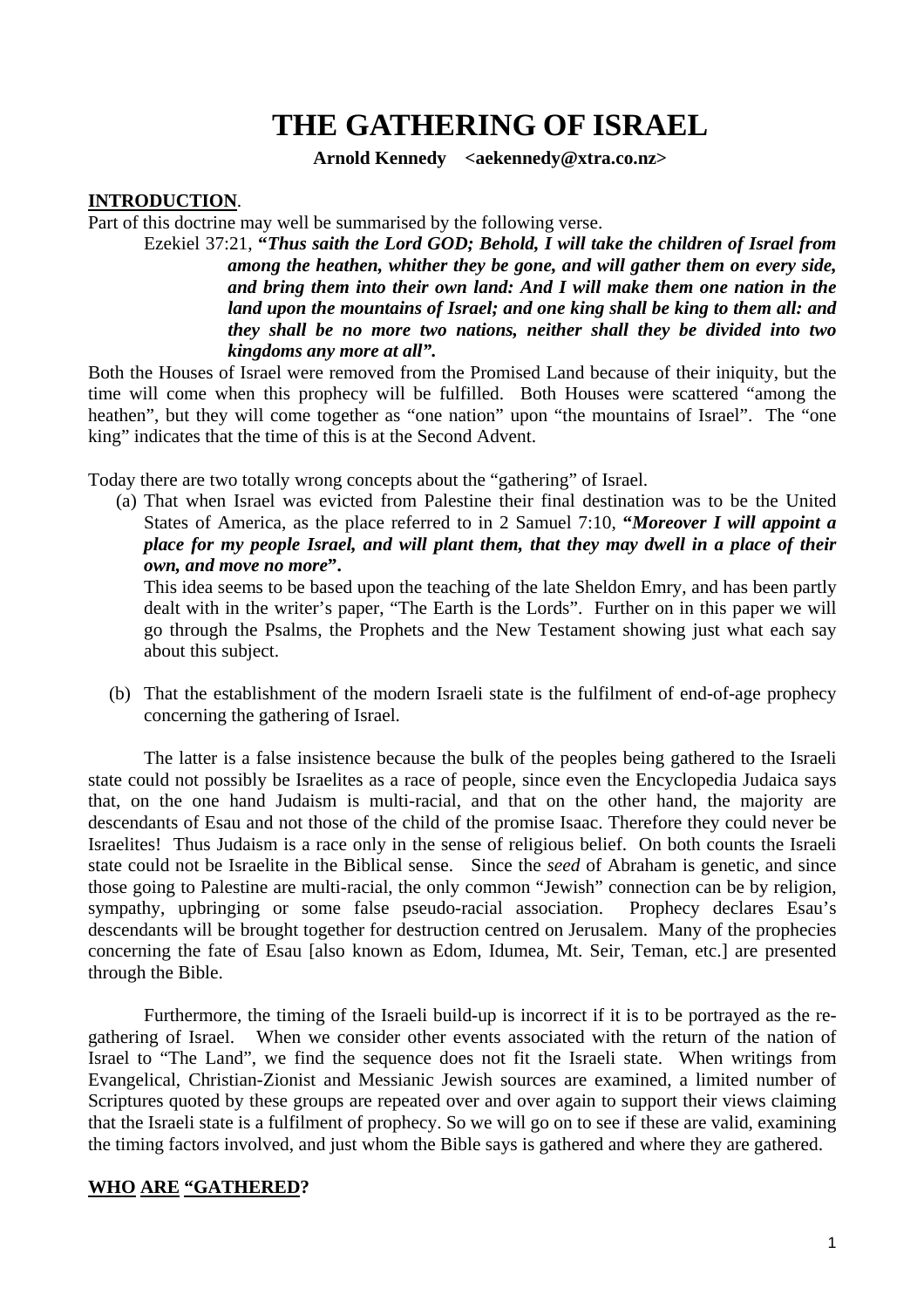# **THE GATHERING OF ISRAEL**

**Arnold Kennedy <aekennedy@xtra.co.nz>** 

### **INTRODUCTION**.

Part of this doctrine may well be summarised by the following verse.

Ezekiel 37:21, **"***Thus saith the Lord GOD; Behold, I will take the children of Israel from among the heathen, whither they be gone, and will gather them on every side, and bring them into their own land: And I will make them one nation in the land upon the mountains of Israel; and one king shall be king to them all: and they shall be no more two nations, neither shall they be divided into two kingdoms any more at all".* 

Both the Houses of Israel were removed from the Promised Land because of their iniquity, but the time will come when this prophecy will be fulfilled. Both Houses were scattered "among the heathen", but they will come together as "one nation" upon "the mountains of Israel". The "one king" indicates that the time of this is at the Second Advent.

Today there are two totally wrong concepts about the "gathering" of Israel.

(a) That when Israel was evicted from Palestine their final destination was to be the United States of America, as the place referred to in 2 Samuel 7:10, **"***Moreover I will appoint a place for my people Israel, and will plant them, that they may dwell in a place of their own, and move no more***".**

This idea seems to be based upon the teaching of the late Sheldon Emry, and has been partly dealt with in the writer's paper, "The Earth is the Lords". Further on in this paper we will go through the Psalms, the Prophets and the New Testament showing just what each say about this subject.

(b) That the establishment of the modern Israeli state is the fulfilment of end-of-age prophecy concerning the gathering of Israel.

The latter is a false insistence because the bulk of the peoples being gathered to the Israeli state could not possibly be Israelites as a race of people, since even the Encyclopedia Judaica says that, on the one hand Judaism is multi-racial, and that on the other hand, the majority are descendants of Esau and not those of the child of the promise Isaac. Therefore they could never be Israelites! Thus Judaism is a race only in the sense of religious belief. On both counts the Israeli state could not be Israelite in the Biblical sense. Since the *seed* of Abraham is genetic, and since those going to Palestine are multi-racial, the only common "Jewish" connection can be by religion, sympathy, upbringing or some false pseudo-racial association. Prophecy declares Esau's descendants will be brought together for destruction centred on Jerusalem. Many of the prophecies concerning the fate of Esau [also known as Edom, Idumea, Mt. Seir, Teman, etc.] are presented through the Bible.

Furthermore, the timing of the Israeli build-up is incorrect if it is to be portrayed as the regathering of Israel. When we consider other events associated with the return of the nation of Israel to "The Land", we find the sequence does not fit the Israeli state. When writings from Evangelical, Christian-Zionist and Messianic Jewish sources are examined, a limited number of Scriptures quoted by these groups are repeated over and over again to support their views claiming that the Israeli state is a fulfilment of prophecy. So we will go on to see if these are valid, examining the timing factors involved, and just whom the Bible says is gathered and where they are gathered.

### **WHO ARE "GATHERED?**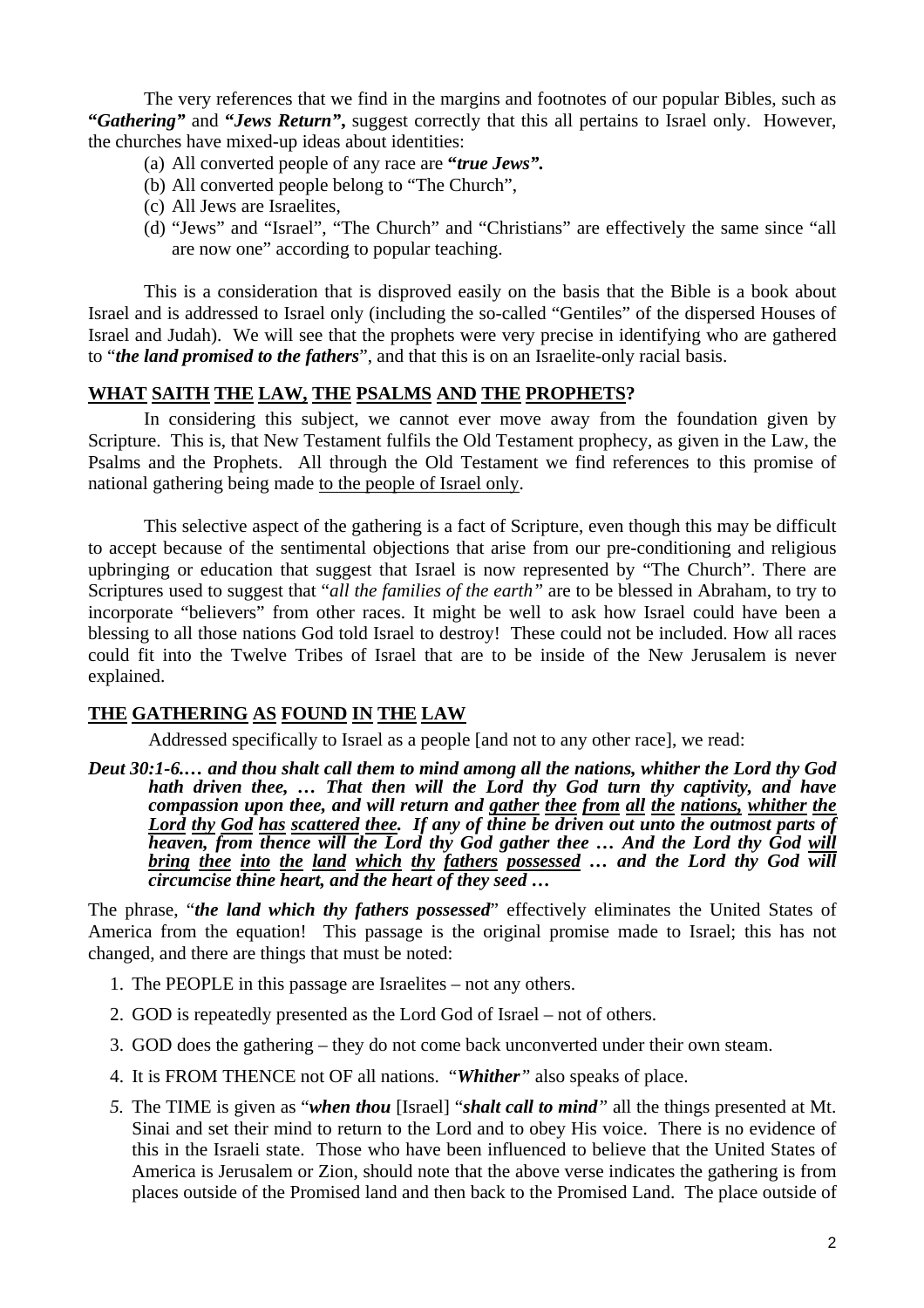The very references that we find in the margins and footnotes of our popular Bibles, such as **"***Gathering"* and **"***Jews Return"***,** suggest correctly that this all pertains to Israel only. However, the churches have mixed-up ideas about identities:

- (a) All converted people of any race are **"***true Jews".*
- (b) All converted people belong to "The Church",
- (c) All Jews are Israelites,
- (d) "Jews" and "Israel", "The Church" and "Christians" are effectively the same since "all are now one" according to popular teaching.

This is a consideration that is disproved easily on the basis that the Bible is a book about Israel and is addressed to Israel only (including the so-called "Gentiles" of the dispersed Houses of Israel and Judah). We will see that the prophets were very precise in identifying who are gathered to "*the land promised to the fathers*", and that this is on an Israelite-only racial basis.

# **WHAT SAITH THE LAW, THE PSALMS AND THE PROPHETS?**

In considering this subject, we cannot ever move away from the foundation given by Scripture. This is, that New Testament fulfils the Old Testament prophecy, as given in the Law, the Psalms and the Prophets. All through the Old Testament we find references to this promise of national gathering being made to the people of Israel only.

This selective aspect of the gathering is a fact of Scripture, even though this may be difficult to accept because of the sentimental objections that arise from our pre-conditioning and religious upbringing or education that suggest that Israel is now represented by "The Church". There are Scriptures used to suggest that "*all the families of the earth"* are to be blessed in Abraham, to try to incorporate "believers" from other races. It might be well to ask how Israel could have been a blessing to all those nations God told Israel to destroy! These could not be included. How all races could fit into the Twelve Tribes of Israel that are to be inside of the New Jerusalem is never explained.

# **THE GATHERING AS FOUND IN THE LAW**

Addressed specifically to Israel as a people [and not to any other race], we read:

*Deut 30:1-6.… and thou shalt call them to mind among all the nations, whither the Lord thy God hath driven thee, … That then will the Lord thy God turn thy captivity, and have compassion upon thee, and will return and gather thee from all the nations, whither the Lord thy God has scattered thee. If any of thine be driven out unto the outmost parts of heaven, from thence will the Lord thy God gather thee … And the Lord thy God will bring thee into the land which thy fathers possessed … and the Lord thy God will circumcise thine heart, and the heart of they seed …* 

The phrase, "*the land which thy fathers possessed*" effectively eliminates the United States of America from the equation! This passage is the original promise made to Israel; this has not changed, and there are things that must be noted:

- 1. The PEOPLE in this passage are Israelites not any others.
- 2. GOD is repeatedly presented as the Lord God of Israel not of others.
- 3. GOD does the gathering they do not come back unconverted under their own steam.
- 4. It is FROM THENCE not OF all nations. "*Whither"* also speaks of place.
- *5.* The TIME is given as "*when thou* [Israel] "*shalt call to mind"* all the things presented at Mt. Sinai and set their mind to return to the Lord and to obey His voice. There is no evidence of this in the Israeli state. Those who have been influenced to believe that the United States of America is Jerusalem or Zion, should note that the above verse indicates the gathering is from places outside of the Promised land and then back to the Promised Land. The place outside of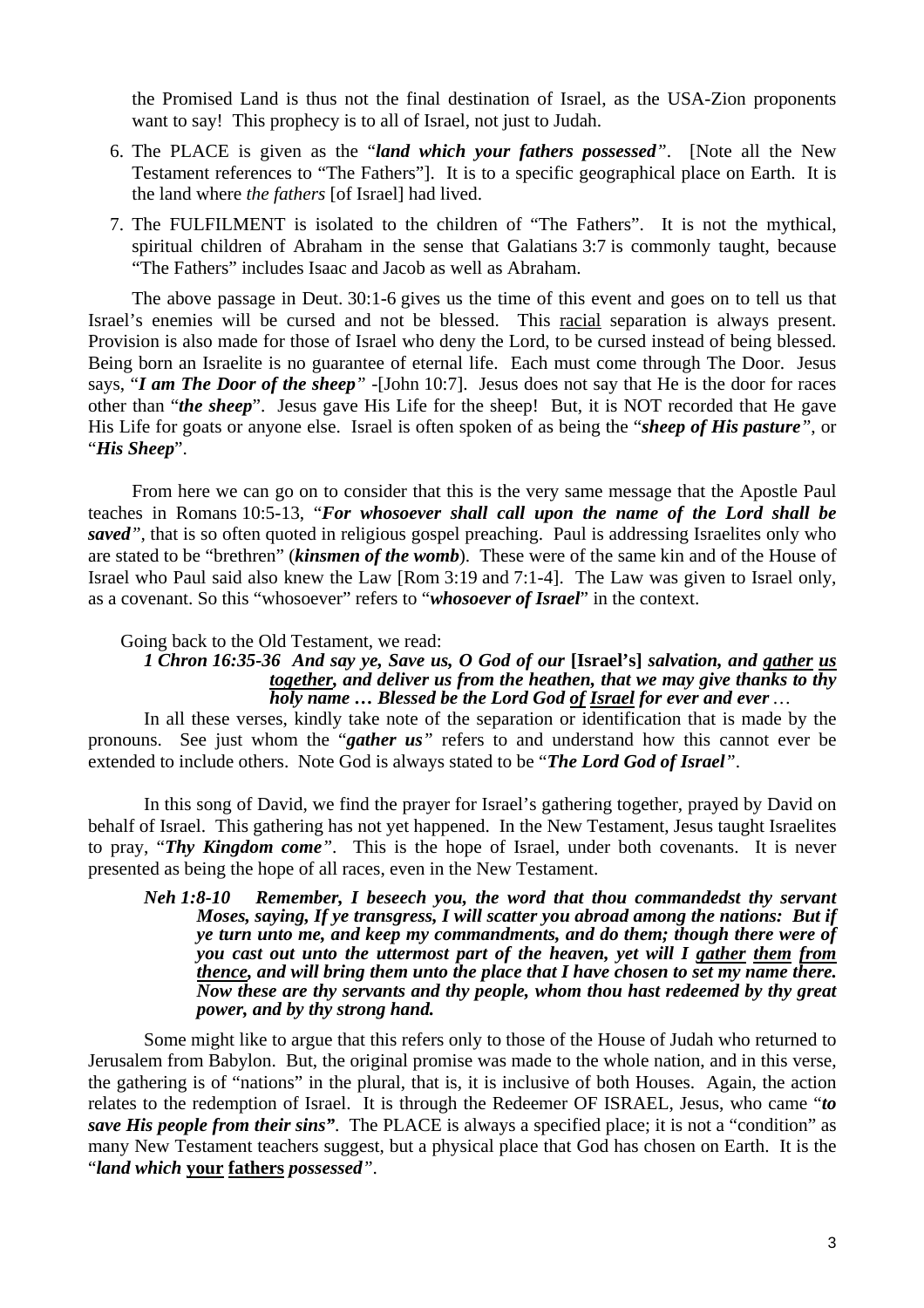the Promised Land is thus not the final destination of Israel, as the USA-Zion proponents want to say! This prophecy is to all of Israel, not just to Judah.

- 6. The PLACE is given as the "*land which your fathers possessed"*. [Note all the New Testament references to "The Fathers"]. It is to a specific geographical place on Earth. It is the land where *the fathers* [of Israel] had lived.
- 7. The FULFILMENT is isolated to the children of "The Fathers". It is not the mythical, spiritual children of Abraham in the sense that Galatians 3:7 is commonly taught, because "The Fathers" includes Isaac and Jacob as well as Abraham.

The above passage in Deut. 30:1-6 gives us the time of this event and goes on to tell us that Israel's enemies will be cursed and not be blessed. This racial separation is always present. Provision is also made for those of Israel who deny the Lord, to be cursed instead of being blessed. Being born an Israelite is no guarantee of eternal life. Each must come through The Door. Jesus says, "*I am The Door of the sheep" -*[John 10:7]. Jesus does not say that He is the door for races other than "*the sheep*". Jesus gave His Life for the sheep! But, it is NOT recorded that He gave His Life for goats or anyone else. Israel is often spoken of as being the "*sheep of His pasture"*, or "*His Sheep*".

From here we can go on to consider that this is the very same message that the Apostle Paul teaches in Romans 10:5-13, "*For whosoever shall call upon the name of the Lord shall be saved",* that is so often quoted in religious gospel preaching. Paul is addressing Israelites only who are stated to be "brethren" (*kinsmen of the womb*). These were of the same kin and of the House of Israel who Paul said also knew the Law [Rom 3:19 and 7:1-4]. The Law was given to Israel only, as a covenant. So this "whosoever" refers to "*whosoever of Israel*" in the context.

#### Going back to the Old Testament, we read:

### *1 Chron 16:35-36 And say ye, Save us, O God of our* **[Israel's]** *salvation, and gather us together, and deliver us from the heathen, that we may give thanks to thy holy name … Blessed be the Lord God of Israel for ever and ever …*

In all these verses, kindly take note of the separation or identification that is made by the pronouns. See just whom the "*gather us"* refers to and understand how this cannot ever be extended to include others. Note God is always stated to be "*The Lord God of Israel"*.

In this song of David, we find the prayer for Israel's gathering together, prayed by David on behalf of Israel. This gathering has not yet happened. In the New Testament, Jesus taught Israelites to pray, "*Thy Kingdom come"*. This is the hope of Israel, under both covenants. It is never presented as being the hope of all races, even in the New Testament.

#### *Neh 1:8-10 Remember, I beseech you, the word that thou commandedst thy servant Moses, saying, If ye transgress, I will scatter you abroad among the nations: But if ye turn unto me, and keep my commandments, and do them; though there were of you cast out unto the uttermost part of the heaven, yet will I gather them from thence, and will bring them unto the place that I have chosen to set my name there. Now these are thy servants and thy people, whom thou hast redeemed by thy great power, and by thy strong hand.*

Some might like to argue that this refers only to those of the House of Judah who returned to Jerusalem from Babylon. But, the original promise was made to the whole nation, and in this verse, the gathering is of "nations" in the plural, that is, it is inclusive of both Houses. Again, the action relates to the redemption of Israel. It is through the Redeemer OF ISRAEL, Jesus, who came "*to save His people from their sins"*. The PLACE is always a specified place; it is not a "condition" as many New Testament teachers suggest, but a physical place that God has chosen on Earth. It is the "*land which* **your fathers** *possessed"*.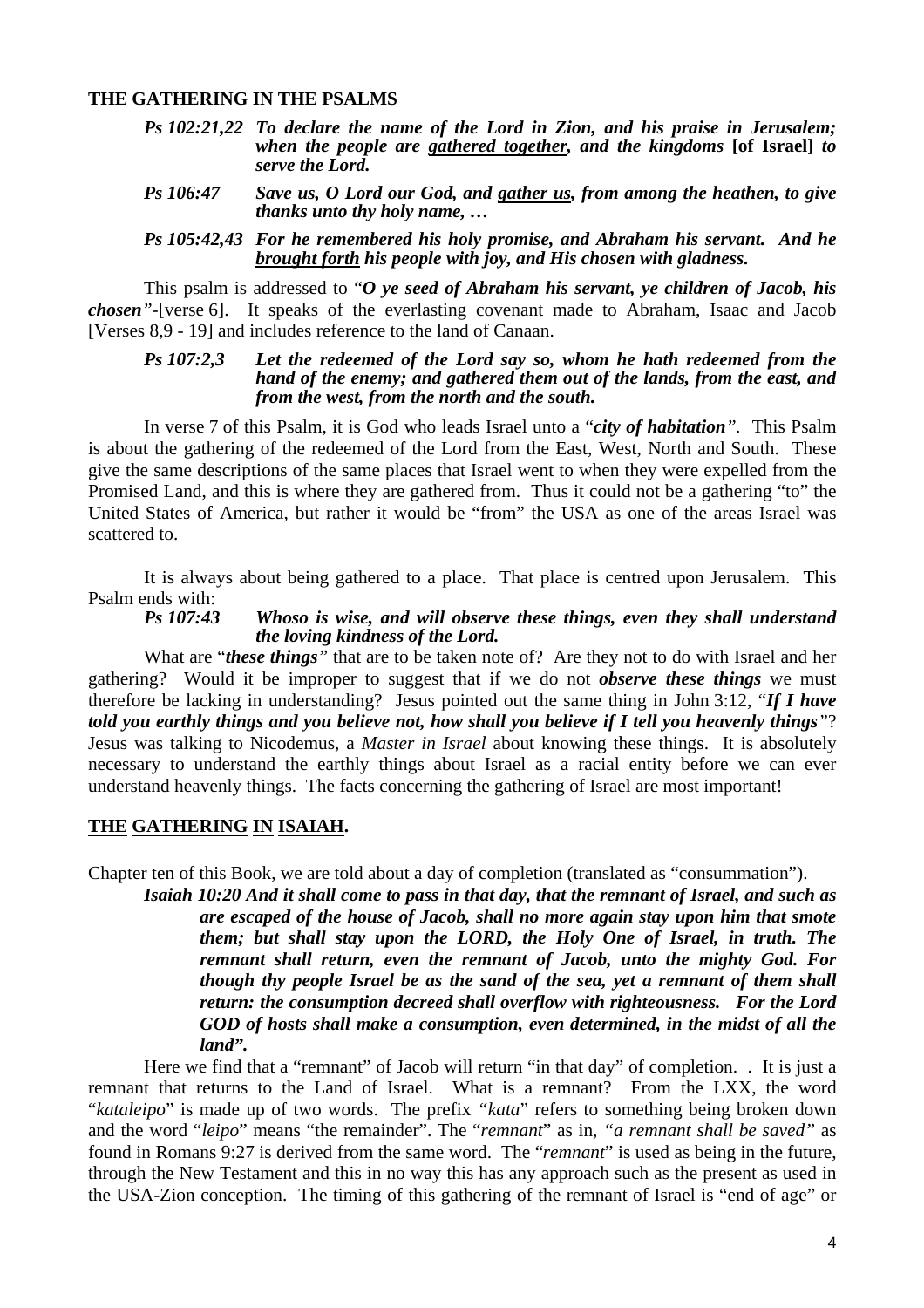#### **THE GATHERING IN THE PSALMS**

- *Ps 102:21,22 To declare the name of the Lord in Zion, and his praise in Jerusalem; when the people are gathered together, and the kingdoms* **[of Israel]** *to serve the Lord.*
- *Ps 106:47 Save us, O Lord our God, and gather us, from among the heathen, to give thanks unto thy holy name, …*

#### *Ps 105:42,43 For he remembered his holy promise, and Abraham his servant. And he brought forth his people with joy, and His chosen with gladness.*

 This psalm is addressed to "*O ye seed of Abraham his servant, ye children of Jacob, his chosen"-*[verse 6]. It speaks of the everlasting covenant made to Abraham, Isaac and Jacob [Verses 8,9 - 19] and includes reference to the land of Canaan.

#### *Ps 107:2,3 Let the redeemed of the Lord say so, whom he hath redeemed from the hand of the enemy; and gathered them out of the lands, from the east, and from the west, from the north and the south.*

 In verse 7 of this Psalm, it is God who leads Israel unto a "*city of habitation".* This Psalm is about the gathering of the redeemed of the Lord from the East, West, North and South. These give the same descriptions of the same places that Israel went to when they were expelled from the Promised Land, and this is where they are gathered from. Thus it could not be a gathering "to" the United States of America, but rather it would be "from" the USA as one of the areas Israel was scattered to.

It is always about being gathered to a place. That place is centred upon Jerusalem. This Psalm ends with:

#### *Ps 107:43 Whoso is wise, and will observe these things, even they shall understand the loving kindness of the Lord.*

 What are "*these things"* that are to be taken note of? Are they not to do with Israel and her gathering? Would it be improper to suggest that if we do not *observe these things* we must therefore be lacking in understanding? Jesus pointed out the same thing in John 3:12, "*If I have told you earthly things and you believe not, how shall you believe if I tell you heavenly things"*? Jesus was talking to Nicodemus, a *Master in Israel* about knowing these things. It is absolutely necessary to understand the earthly things about Israel as a racial entity before we can ever understand heavenly things. The facts concerning the gathering of Israel are most important!

### **THE GATHERING IN ISAIAH.**

Chapter ten of this Book, we are told about a day of completion (translated as "consummation").

*Isaiah 10:20 And it shall come to pass in that day, that the remnant of Israel, and such as are escaped of the house of Jacob, shall no more again stay upon him that smote them; but shall stay upon the LORD, the Holy One of Israel, in truth. The remnant shall return, even the remnant of Jacob, unto the mighty God. For though thy people Israel be as the sand of the sea, yet a remnant of them shall return: the consumption decreed shall overflow with righteousness. For the Lord GOD of hosts shall make a consumption, even determined, in the midst of all the land".* 

Here we find that a "remnant" of Jacob will return "in that day" of completion. . It is just a remnant that returns to the Land of Israel. What is a remnant? From the LXX, the word "*kataleipo*" is made up of two words. The prefix *"kata*" refers to something being broken down and the word "*leipo*" means "the remainder". The "*remnant*" as in, *"a remnant shall be saved"* as found in Romans 9:27 is derived from the same word. The "*remnant*" is used as being in the future, through the New Testament and this in no way this has any approach such as the present as used in the USA-Zion conception. The timing of this gathering of the remnant of Israel is "end of age" or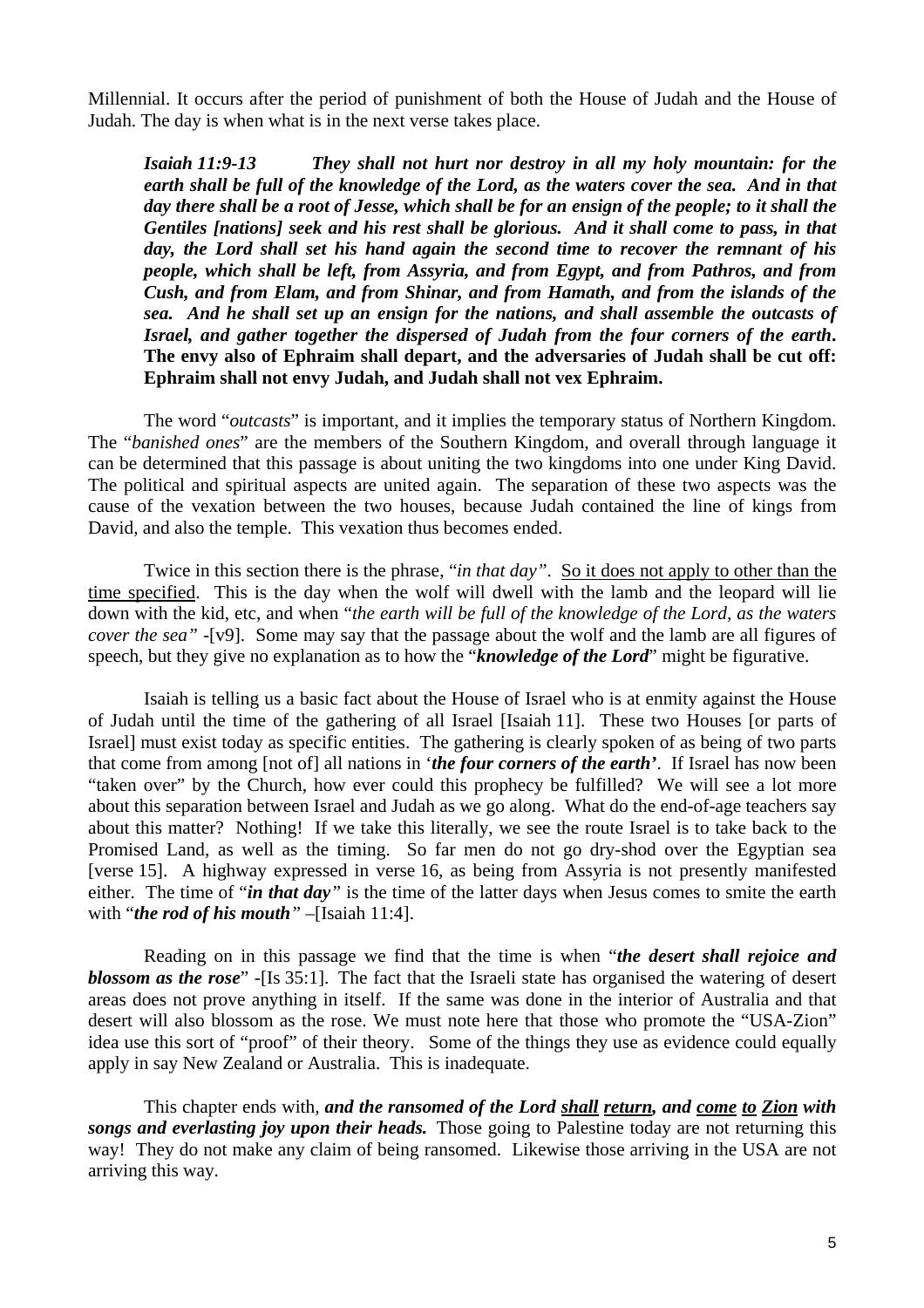Millennial. It occurs after the period of punishment of both the House of Judah and the House of Judah. The day is when what is in the next verse takes place.

*Isaiah 11:9-13 They shall not hurt nor destroy in all my holy mountain: for the earth shall be full of the knowledge of the Lord, as the waters cover the sea. And in that day there shall be a root of Jesse, which shall be for an ensign of the people; to it shall the Gentiles [nations] seek and his rest shall be glorious. And it shall come to pass, in that day, the Lord shall set his hand again the second time to recover the remnant of his people, which shall be left, from Assyria, and from Egypt, and from Pathros, and from Cush, and from Elam, and from Shinar, and from Hamath, and from the islands of the sea. And he shall set up an ensign for the nations, and shall assemble the outcasts of Israel, and gather together the dispersed of Judah from the four corners of the earth***. The envy also of Ephraim shall depart, and the adversaries of Judah shall be cut off: Ephraim shall not envy Judah, and Judah shall not vex Ephraim.** 

The word "*outcasts*" is important, and it implies the temporary status of Northern Kingdom. The "*banished ones*" are the members of the Southern Kingdom, and overall through language it can be determined that this passage is about uniting the two kingdoms into one under King David. The political and spiritual aspects are united again. The separation of these two aspects was the cause of the vexation between the two houses, because Judah contained the line of kings from David, and also the temple. This vexation thus becomes ended.

Twice in this section there is the phrase, "*in that day"*. So it does not apply to other than the time specified. This is the day when the wolf will dwell with the lamb and the leopard will lie down with the kid, etc, and when "*the earth will be full of the knowledge of the Lord, as the waters cover the sea" -*[v9]. Some may say that the passage about the wolf and the lamb are all figures of speech, but they give no explanation as to how the "*knowledge of the Lord*" might be figurative.

Isaiah is telling us a basic fact about the House of Israel who is at enmity against the House of Judah until the time of the gathering of all Israel [Isaiah 11]. These two Houses [or parts of Israel] must exist today as specific entities. The gathering is clearly spoken of as being of two parts that come from among [not of] all nations in '*the four corners of the earth'*. If Israel has now been "taken over" by the Church, how ever could this prophecy be fulfilled? We will see a lot more about this separation between Israel and Judah as we go along. What do the end-of-age teachers say about this matter? Nothing! If we take this literally, we see the route Israel is to take back to the Promised Land, as well as the timing. So far men do not go dry-shod over the Egyptian sea [verse 15]. A highway expressed in verse 16, as being from Assyria is not presently manifested either. The time of "*in that day"* is the time of the latter days when Jesus comes to smite the earth with "*the rod of his mouth"* –[Isaiah 11:4].

Reading on in this passage we find that the time is when "*the desert shall rejoice and blossom as the rose*" -[Is 35:1]. The fact that the Israeli state has organised the watering of desert areas does not prove anything in itself. If the same was done in the interior of Australia and that desert will also blossom as the rose. We must note here that those who promote the "USA-Zion" idea use this sort of "proof" of their theory. Some of the things they use as evidence could equally apply in say New Zealand or Australia. This is inadequate.

This chapter ends with*, and the ransomed of the Lord shall return, and come to Zion with songs and everlasting joy upon their heads.* Those going to Palestine today are not returning this way! They do not make any claim of being ransomed. Likewise those arriving in the USA are not arriving this way.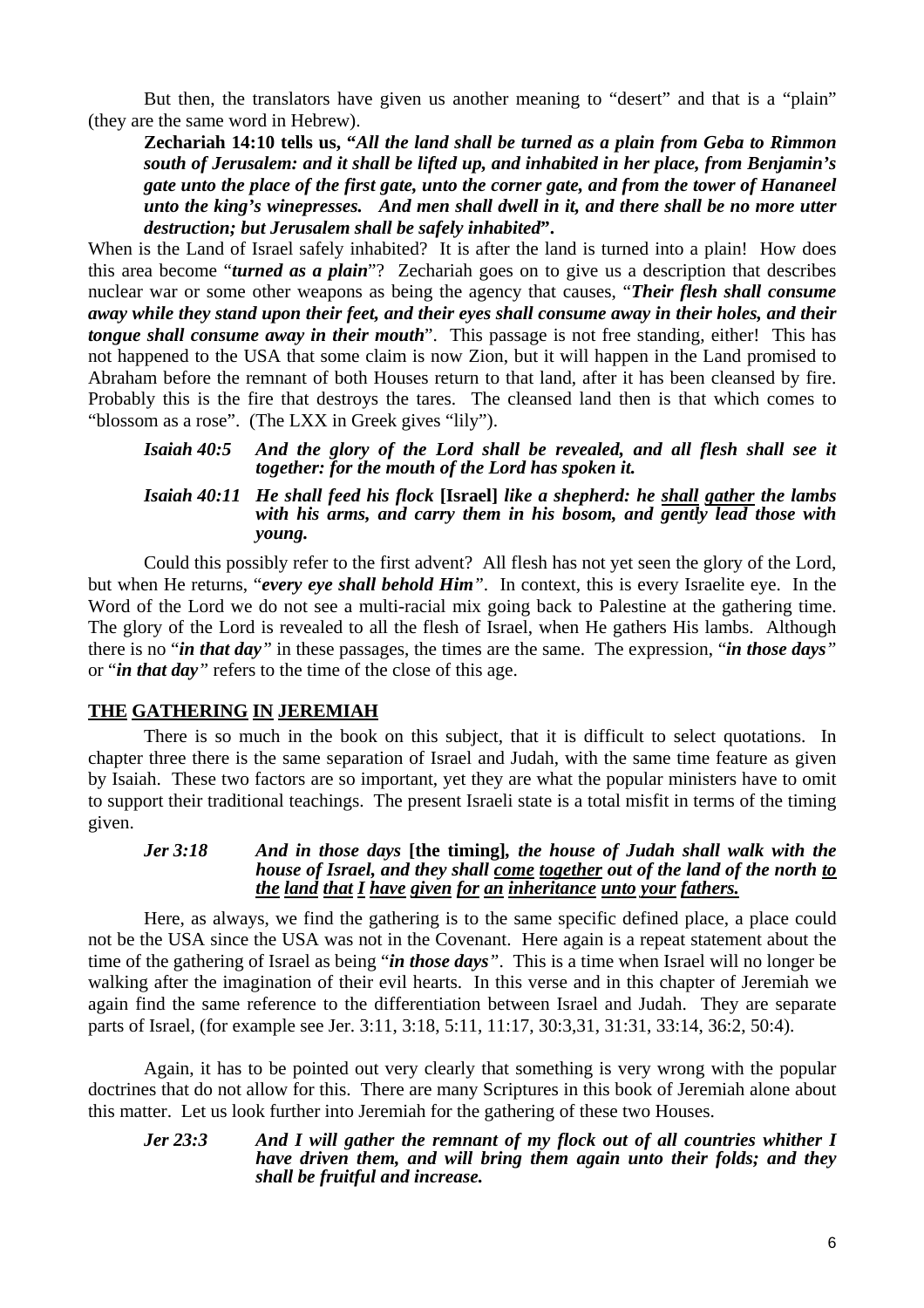But then, the translators have given us another meaning to "desert" and that is a "plain" (they are the same word in Hebrew).

**Zechariah 14:10 tells us, "***All the land shall be turned as a plain from Geba to Rimmon south of Jerusalem: and it shall be lifted up, and inhabited in her place, from Benjamin's gate unto the place of the first gate, unto the corner gate, and from the tower of Hananeel unto the king's winepresses. And men shall dwell in it, and there shall be no more utter destruction; but Jerusalem shall be safely inhabited***".** 

When is the Land of Israel safely inhabited? It is after the land is turned into a plain! How does this area become "*turned as a plain*"? Zechariah goes on to give us a description that describes nuclear war or some other weapons as being the agency that causes, "*Their flesh shall consume away while they stand upon their feet, and their eyes shall consume away in their holes, and their tongue shall consume away in their mouth*". This passage is not free standing, either! This has not happened to the USA that some claim is now Zion, but it will happen in the Land promised to Abraham before the remnant of both Houses return to that land, after it has been cleansed by fire. Probably this is the fire that destroys the tares. The cleansed land then is that which comes to "blossom as a rose". (The LXX in Greek gives "lily").

*Isaiah 40:5 And the glory of the Lord shall be revealed, and all flesh shall see it together: for the mouth of the Lord has spoken it.* 

### *Isaiah 40:11 He shall feed his flock* **[Israel]** *like a shepherd: he shall gather the lambs with his arms, and carry them in his bosom, and gently lead those with young.*

Could this possibly refer to the first advent? All flesh has not yet seen the glory of the Lord, but when He returns, "*every eye shall behold Him"*. In context, this is every Israelite eye. In the Word of the Lord we do not see a multi-racial mix going back to Palestine at the gathering time. The glory of the Lord is revealed to all the flesh of Israel, when He gathers His lambs. Although there is no "*in that day"* in these passages, the times are the same. The expression, "*in those days"* or "*in that day"* refers to the time of the close of this age.

# **THE GATHERING IN JEREMIAH**

 There is so much in the book on this subject, that it is difficult to select quotations. In chapter three there is the same separation of Israel and Judah, with the same time feature as given by Isaiah. These two factors are so important, yet they are what the popular ministers have to omit to support their traditional teachings. The present Israeli state is a total misfit in terms of the timing given.

### *Jer 3:18 And in those days* **[the timing]***, the house of Judah shall walk with the house of Israel, and they shall come together out of the land of the north to the land that I have given for an inheritance unto your fathers.*

 Here, as always, we find the gathering is to the same specific defined place, a place could not be the USA since the USA was not in the Covenant. Here again is a repeat statement about the time of the gathering of Israel as being "*in those days"*. This is a time when Israel will no longer be walking after the imagination of their evil hearts. In this verse and in this chapter of Jeremiah we again find the same reference to the differentiation between Israel and Judah. They are separate parts of Israel, (for example see Jer. 3:11, 3:18, 5:11, 11:17, 30:3,31, 31:31, 33:14, 36:2, 50:4).

Again, it has to be pointed out very clearly that something is very wrong with the popular doctrines that do not allow for this. There are many Scriptures in this book of Jeremiah alone about this matter. Let us look further into Jeremiah for the gathering of these two Houses.

#### *Jer 23:3 And I will gather the remnant of my flock out of all countries whither I have driven them, and will bring them again unto their folds; and they shall be fruitful and increase.*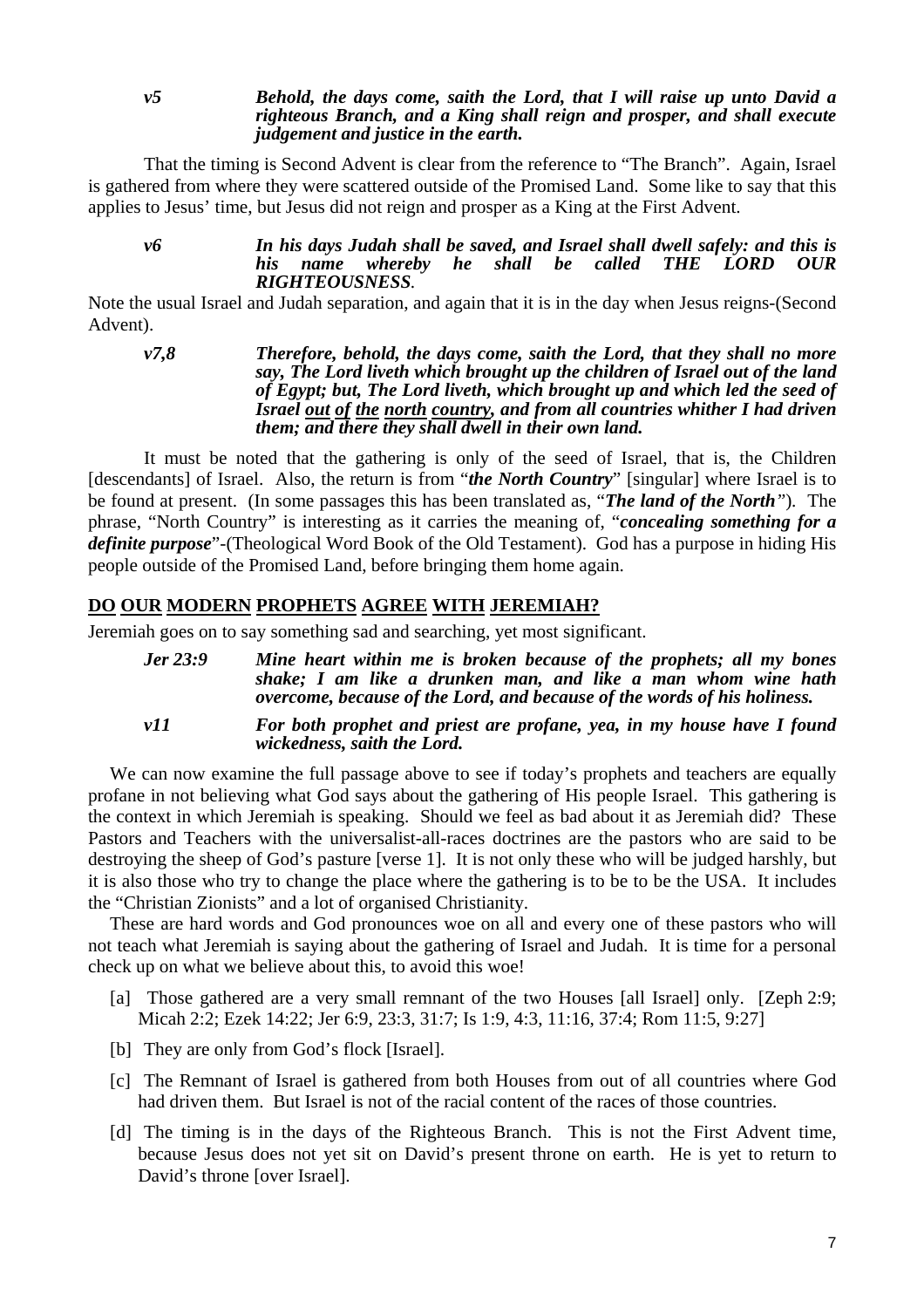### *v5 Behold, the days come, saith the Lord, that I will raise up unto David a righteous Branch, and a King shall reign and prosper, and shall execute judgement and justice in the earth.*

That the timing is Second Advent is clear from the reference to "The Branch". Again, Israel is gathered from where they were scattered outside of the Promised Land. Some like to say that this applies to Jesus' time, but Jesus did not reign and prosper as a King at the First Advent.

*v6 In his days Judah shall be saved, and Israel shall dwell safely: and this is his name whereby he shall be called THE LORD OUR RIGHTEOUSNESS.* 

Note the usual Israel and Judah separation, and again that it is in the day when Jesus reigns-(Second Advent).

*v7,8 Therefore, behold, the days come, saith the Lord, that they shall no more say, The Lord liveth which brought up the children of Israel out of the land of Egypt; but, The Lord liveth, which brought up and which led the seed of Israel out of the north country, and from all countries whither I had driven them; and there they shall dwell in their own land.* 

 It must be noted that the gathering is only of the seed of Israel, that is, the Children [descendants] of Israel. Also, the return is from "*the North Country*" [singular] where Israel is to be found at present. (In some passages this has been translated as, "*The land of the North"*)*.* The phrase, "North Country" is interesting as it carries the meaning of, "*concealing something for a definite purpose*"-(Theological Word Book of the Old Testament). God has a purpose in hiding His people outside of the Promised Land, before bringing them home again.

# **DO OUR MODERN PROPHETS AGREE WITH JEREMIAH?**

Jeremiah goes on to say something sad and searching, yet most significant.

| <b>Jer 23:9</b> | Mine heart within me is broken because of the prophets; all my bones<br>shake; I am like a drunken man, and like a man whom wine hath<br>overcome, because of the Lord, and because of the words of his holiness. |
|-----------------|-------------------------------------------------------------------------------------------------------------------------------------------------------------------------------------------------------------------|
| v11             | For both prophet and priest are profane, yea, in my house have I found<br>wickedness, saith the Lord.                                                                                                             |

We can now examine the full passage above to see if today's prophets and teachers are equally profane in not believing what God says about the gathering of His people Israel. This gathering is the context in which Jeremiah is speaking. Should we feel as bad about it as Jeremiah did? These Pastors and Teachers with the universalist-all-races doctrines are the pastors who are said to be destroying the sheep of God's pasture [verse 1]. It is not only these who will be judged harshly, but it is also those who try to change the place where the gathering is to be to be the USA. It includes the "Christian Zionists" and a lot of organised Christianity.

These are hard words and God pronounces woe on all and every one of these pastors who will not teach what Jeremiah is saying about the gathering of Israel and Judah. It is time for a personal check up on what we believe about this, to avoid this woe!

- [a] Those gathered are a very small remnant of the two Houses [all Israel] only. [Zeph 2:9; Micah 2:2; Ezek 14:22; Jer 6:9, 23:3, 31:7; Is 1:9, 4:3, 11:16, 37:4; Rom 11:5, 9:27]
- [b] They are only from God's flock [Israel].
- [c] The Remnant of Israel is gathered from both Houses from out of all countries where God had driven them. But Israel is not of the racial content of the races of those countries.
- [d] The timing is in the days of the Righteous Branch. This is not the First Advent time, because Jesus does not yet sit on David's present throne on earth. He is yet to return to David's throne [over Israel].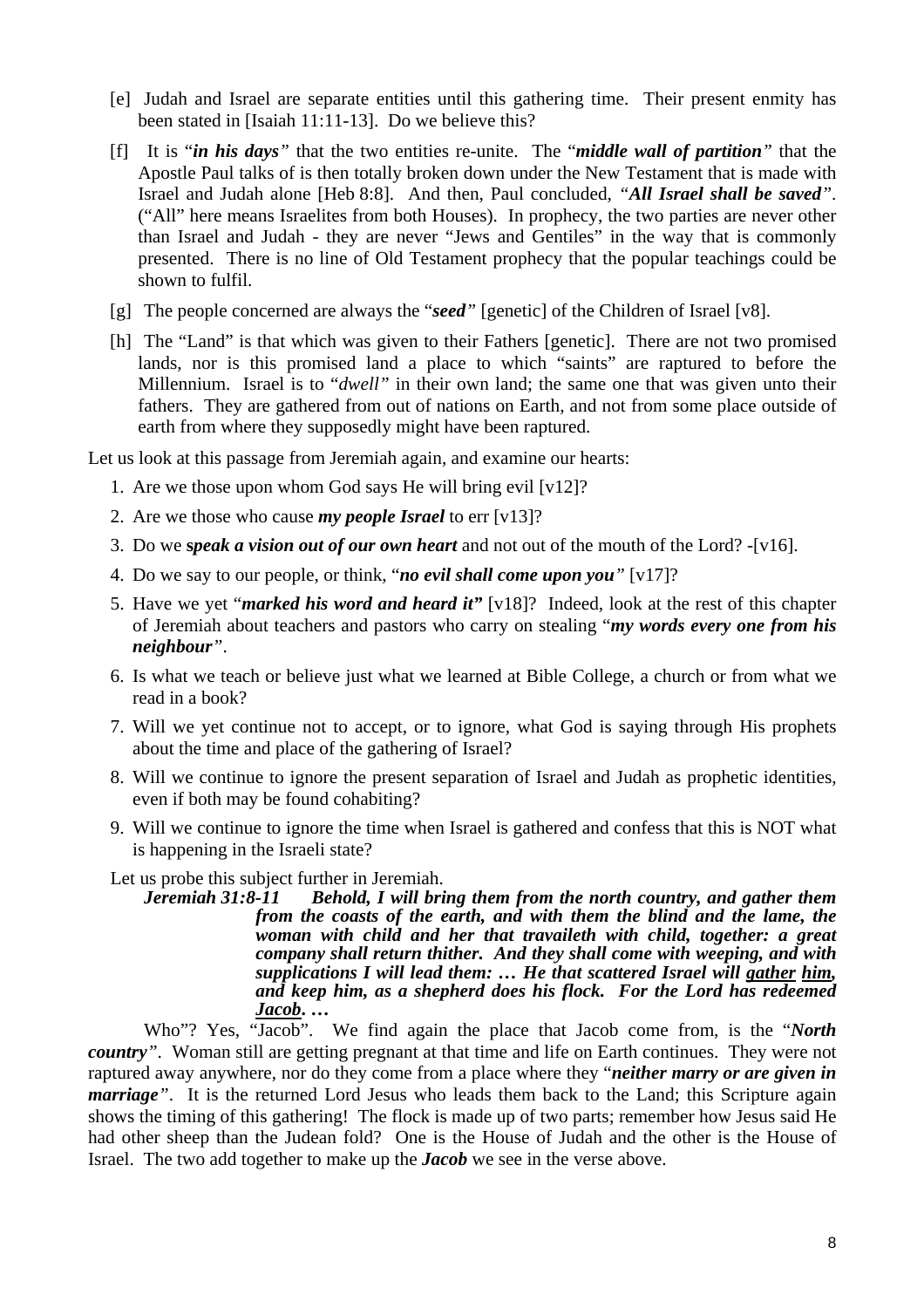- [e] Judah and Israel are separate entities until this gathering time. Their present enmity has been stated in [Isaiah 11:11-13]. Do we believe this?
- [f] It is "*in his days"* that the two entities re-unite. The "*middle wall of partition"* that the Apostle Paul talks of is then totally broken down under the New Testament that is made with Israel and Judah alone [Heb 8:8]. And then, Paul concluded*, "All Israel shall be saved"*. ("All" here means Israelites from both Houses). In prophecy, the two parties are never other than Israel and Judah - they are never "Jews and Gentiles" in the way that is commonly presented. There is no line of Old Testament prophecy that the popular teachings could be shown to fulfil.
- [g] The people concerned are always the "*seed"* [genetic] of the Children of Israel [v8].
- [h] The "Land" is that which was given to their Fathers [genetic]. There are not two promised lands, nor is this promised land a place to which "saints" are raptured to before the Millennium. Israel is to "*dwell"* in their own land; the same one that was given unto their fathers. They are gathered from out of nations on Earth, and not from some place outside of earth from where they supposedly might have been raptured.

Let us look at this passage from Jeremiah again, and examine our hearts:

- 1. Are we those upon whom God says He will bring evil [v12]?
- 2. Are we those who cause *my people Israel* to err [v13]?
- 3. Do we **s***peak a vision out of our own heart* and not out of the mouth of the Lord? -[v16].
- 4. Do we say to our people, or think, "*no evil shall come upon you"* [v17]?
- 5. Have we yet "*marked his word and heard it"* [v18]? Indeed, look at the rest of this chapter of Jeremiah about teachers and pastors who carry on stealing "*my words every one from his neighbour"*.
- 6. Is what we teach or believe just what we learned at Bible College, a church or from what we read in a book?
- 7. Will we yet continue not to accept, or to ignore, what God is saying through His prophets about the time and place of the gathering of Israel?
- 8. Will we continue to ignore the present separation of Israel and Judah as prophetic identities, even if both may be found cohabiting?
- 9. Will we continue to ignore the time when Israel is gathered and confess that this is NOT what is happening in the Israeli state?

Let us probe this subject further in Jeremiah.

*Jeremiah 31:8-11 Behold, I will bring them from the north country, and gather them from the coasts of the earth, and with them the blind and the lame, the woman with child and her that travaileth with child, together: a great company shall return thither. And they shall come with weeping, and with supplications I will lead them: … He that scattered Israel will gather him, and keep him, as a shepherd does his flock. For the Lord has redeemed Jacob***. …** 

Who"? Yes, "Jacob". We find again the place that Jacob come from, is the "*North country*". Woman still are getting pregnant at that time and life on Earth continues. They were not raptured away anywhere, nor do they come from a place where they "*neither marry or are given in marriage*<sup>"</sup>. It is the returned Lord Jesus who leads them back to the Land; this Scripture again shows the timing of this gathering! The flock is made up of two parts; remember how Jesus said He had other sheep than the Judean fold? One is the House of Judah and the other is the House of Israel. The two add together to make up the *Jacob* we see in the verse above.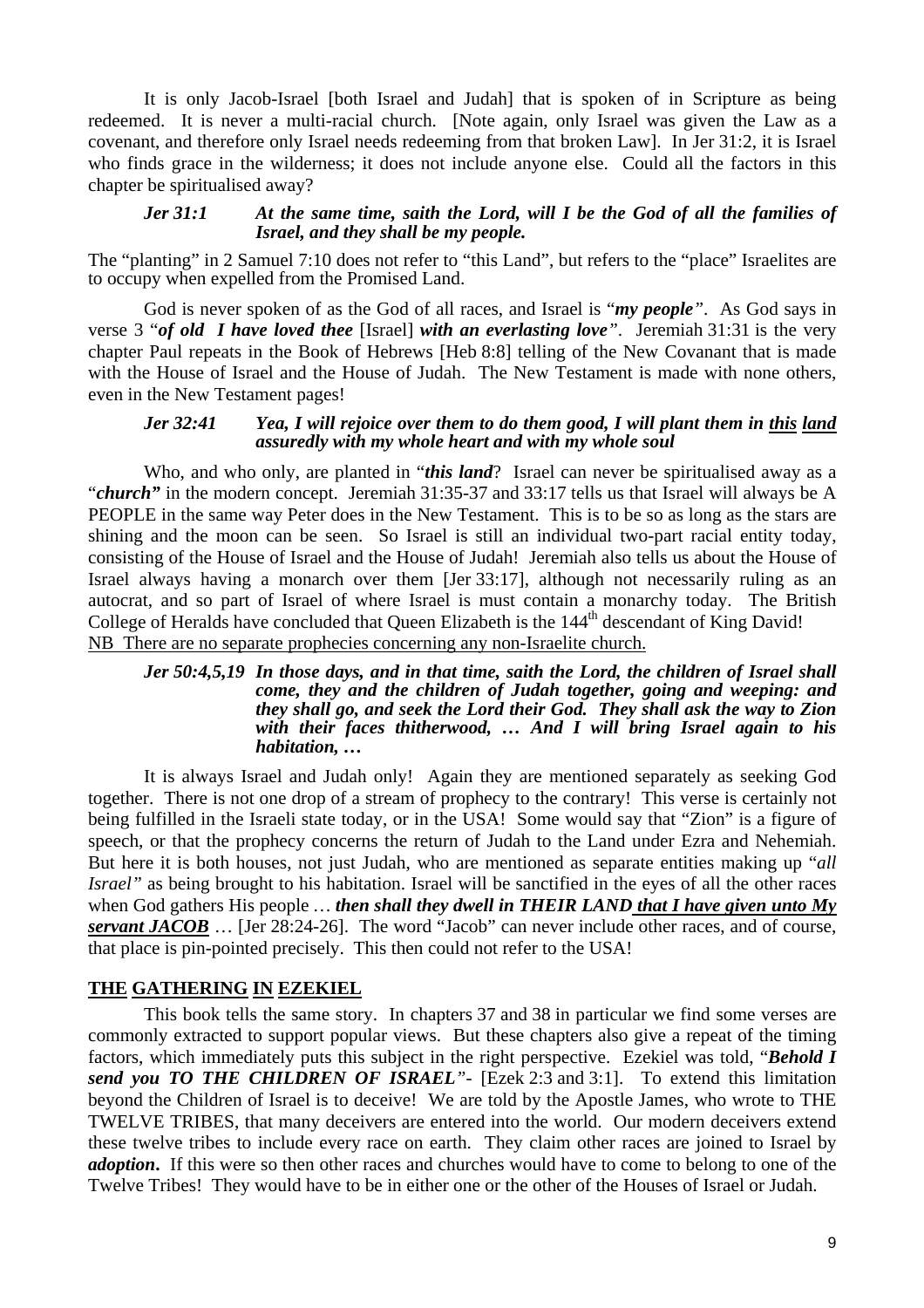It is only Jacob-Israel [both Israel and Judah] that is spoken of in Scripture as being redeemed. It is never a multi-racial church. [Note again, only Israel was given the Law as a covenant, and therefore only Israel needs redeeming from that broken Law]. In Jer 31:2, it is Israel who finds grace in the wilderness; it does not include anyone else. Could all the factors in this chapter be spiritualised away?

### *Jer 31:1 At the same time, saith the Lord, will I be the God of all the families of Israel, and they shall be my people.*

The "planting" in 2 Samuel 7:10 does not refer to "this Land", but refers to the "place" Israelites are to occupy when expelled from the Promised Land.

God is never spoken of as the God of all races, and Israel is "*my people"*. As God says in verse 3 "*of old**I have loved thee* [Israel] *with an everlasting love"*. Jeremiah 31:31 is the very chapter Paul repeats in the Book of Hebrews [Heb 8:8] telling of the New Covanant that is made with the House of Israel and the House of Judah. The New Testament is made with none others, even in the New Testament pages!

### *Jer 32:41 Yea, I will rejoice over them to do them good, I will plant them in this land assuredly with my whole heart and with my whole soul*

 Who, and who only, are planted in "*this land*? Israel can never be spiritualised away as a "*church*" in the modern concept. Jeremiah 31:35-37 and 33:17 tells us that Israel will always be A PEOPLE in the same way Peter does in the New Testament. This is to be so as long as the stars are shining and the moon can be seen. So Israel is still an individual two-part racial entity today, consisting of the House of Israel and the House of Judah! Jeremiah also tells us about the House of Israel always having a monarch over them [Jer 33:17], although not necessarily ruling as an autocrat, and so part of Israel of where Israel is must contain a monarchy today. The British College of Heralds have concluded that Queen Elizabeth is the 144<sup>th</sup> descendant of King David! NB There are no separate prophecies concerning any non-Israelite church.

#### *Jer 50:4,5,19 In those days, and in that time, saith the Lord, the children of Israel shall come, they and the children of Judah together, going and weeping: and they shall go, and seek the Lord their God. They shall ask the way to Zion with their faces thitherwood, … And I will bring Israel again to his habitation, …*

It is always Israel and Judah only! Again they are mentioned separately as seeking God together. There is not one drop of a stream of prophecy to the contrary! This verse is certainly not being fulfilled in the Israeli state today, or in the USA! Some would say that "Zion" is a figure of speech, or that the prophecy concerns the return of Judah to the Land under Ezra and Nehemiah. But here it is both houses, not just Judah, who are mentioned as separate entities making up "*all Israel*" as being brought to his habitation. Israel will be sanctified in the eyes of all the other races when God gathers His people *… then shall they dwell in THEIR LAND that I have given unto My servant JACOB* ... [Jer 28:24-26]. The word "Jacob" can never include other races, and of course, that place is pin-pointed precisely. This then could not refer to the USA!

# **THE GATHERING IN EZEKIEL**

This book tells the same story. In chapters 37 and 38 in particular we find some verses are commonly extracted to support popular views. But these chapters also give a repeat of the timing factors, which immediately puts this subject in the right perspective. Ezekiel was told, "*Behold I send you TO THE CHILDREN OF ISRAEL"-* [Ezek 2:3 and 3:1]. To extend this limitation beyond the Children of Israel is to deceive! We are told by the Apostle James, who wrote to THE TWELVE TRIBES, that many deceivers are entered into the world. Our modern deceivers extend these twelve tribes to include every race on earth. They claim other races are joined to Israel by *adoption***.** If this were so then other races and churches would have to come to belong to one of the Twelve Tribes! They would have to be in either one or the other of the Houses of Israel or Judah.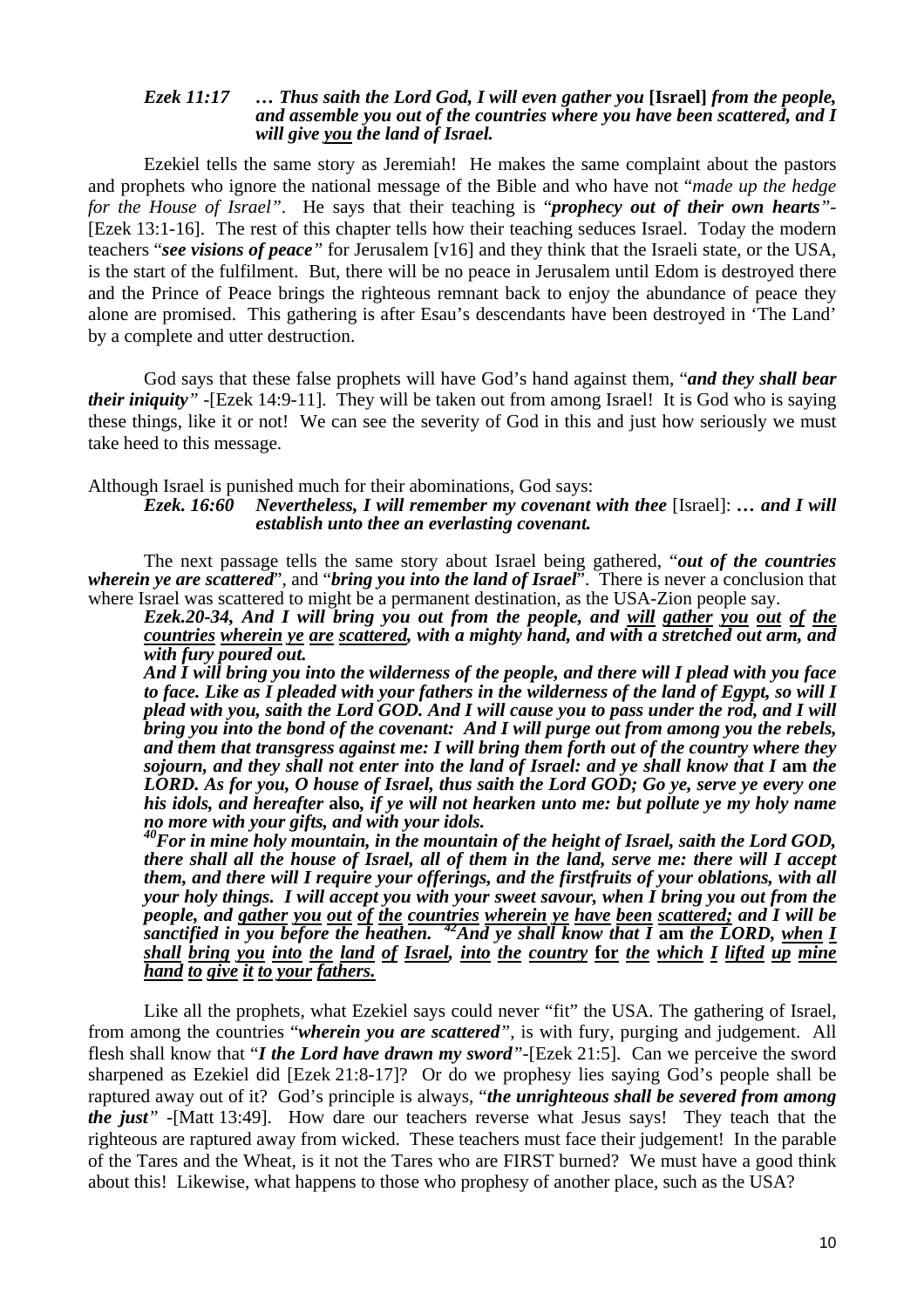#### *Ezek 11:17 … Thus saith the Lord God, I will even gather you* **[Israel]** *from the people, and assemble you out of the countries where you have been scattered, and I will give you the land of Israel.*

Ezekiel tells the same story as Jeremiah! He makes the same complaint about the pastors and prophets who ignore the national message of the Bible and who have not "*made up the hedge for the House of Israel"*. He says that their teaching is "*prophecy out of their own hearts"-* [Ezek 13:1-16]. The rest of this chapter tells how their teaching seduces Israel. Today the modern teachers "*see visions of peace"* for Jerusalem [v16] and they think that the Israeli state, or the USA, is the start of the fulfilment. But, there will be no peace in Jerusalem until Edom is destroyed there and the Prince of Peace brings the righteous remnant back to enjoy the abundance of peace they alone are promised. This gathering is after Esau's descendants have been destroyed in 'The Land' by a complete and utter destruction.

God says that these false prophets will have God's hand against them, "*and they shall bear their iniquity" -*[Ezek 14:9-11]. They will be taken out from among Israel! It is God who is saying these things, like it or not! We can see the severity of God in this and just how seriously we must take heed to this message.

Although Israel is punished much for their abominations, God says:

*Ezek. 16:60 Nevertheless, I will remember my covenant with thee* [Israel]: *… and I will establish unto thee an everlasting covenant.* 

The next passage tells the same story about Israel being gathered, "*out of the countries wherein ye are scattered*", and "*bring you into the land of Israel*". There is never a conclusion that where Israel was scattered to might be a permanent destination, as the USA-Zion people say.

*Ezek.20-34, And I will bring you out from the people, and will gather you out of the countries wherein ye are scattered, with a mighty hand, and with a stretched out arm, and with fury poured out.* 

*And I will bring you into the wilderness of the people, and there will I plead with you face to face. Like as I pleaded with your fathers in the wilderness of the land of Egypt, so will I plead with you, saith the Lord GOD. And I will cause you to pass under the rod, and I will bring you into the bond of the covenant: And I will purge out from among you the rebels, and them that transgress against me: I will bring them forth out of the country where they sojourn, and they shall not enter into the land of Israel: and ye shall know that I am the LORD. As for you, O house of Israel, thus saith the Lord GOD; Go ye, serve ye every one his idols, and hereafter* **also***, if ye will not hearken unto me: but pollute ye my holy name no more with your gifts, and with your idols.* 

*40For in mine holy mountain, in the mountain of the height of Israel, saith the Lord GOD, there shall all the house of Israel, all of them in the land, serve me: there will I accept them, and there will I require your offerings, and the firstfruits of your oblations, with all your holy things. I will accept you with your sweet savour, when I bring you out from the people, and gather you out of the countries wherein ye have been scattered; and I will be sanctified in you before the heathen. 42And ye shall know that I* **am** *the LORD, when I shall bring you into the land of Israel, into the country* **for** *the which I lifted up mine hand to give it to your fathers.* 

Like all the prophets, what Ezekiel says could never "fit" the USA. The gathering of Israel, from among the countries "*wherein you are scattered"*, is with fury, purging and judgement. All flesh shall know that "*I the Lord have drawn my sword"-*[Ezek 21:5]. Can we perceive the sword sharpened as Ezekiel did [Ezek 21:8-17]? Or do we prophesy lies saying God's people shall be raptured away out of it? God's principle is always, "*the unrighteous shall be severed from among the just" -*[Matt 13:49]. How dare our teachers reverse what Jesus says! They teach that the righteous are raptured away from wicked. These teachers must face their judgement! In the parable of the Tares and the Wheat, is it not the Tares who are FIRST burned? We must have a good think about this! Likewise, what happens to those who prophesy of another place, such as the USA?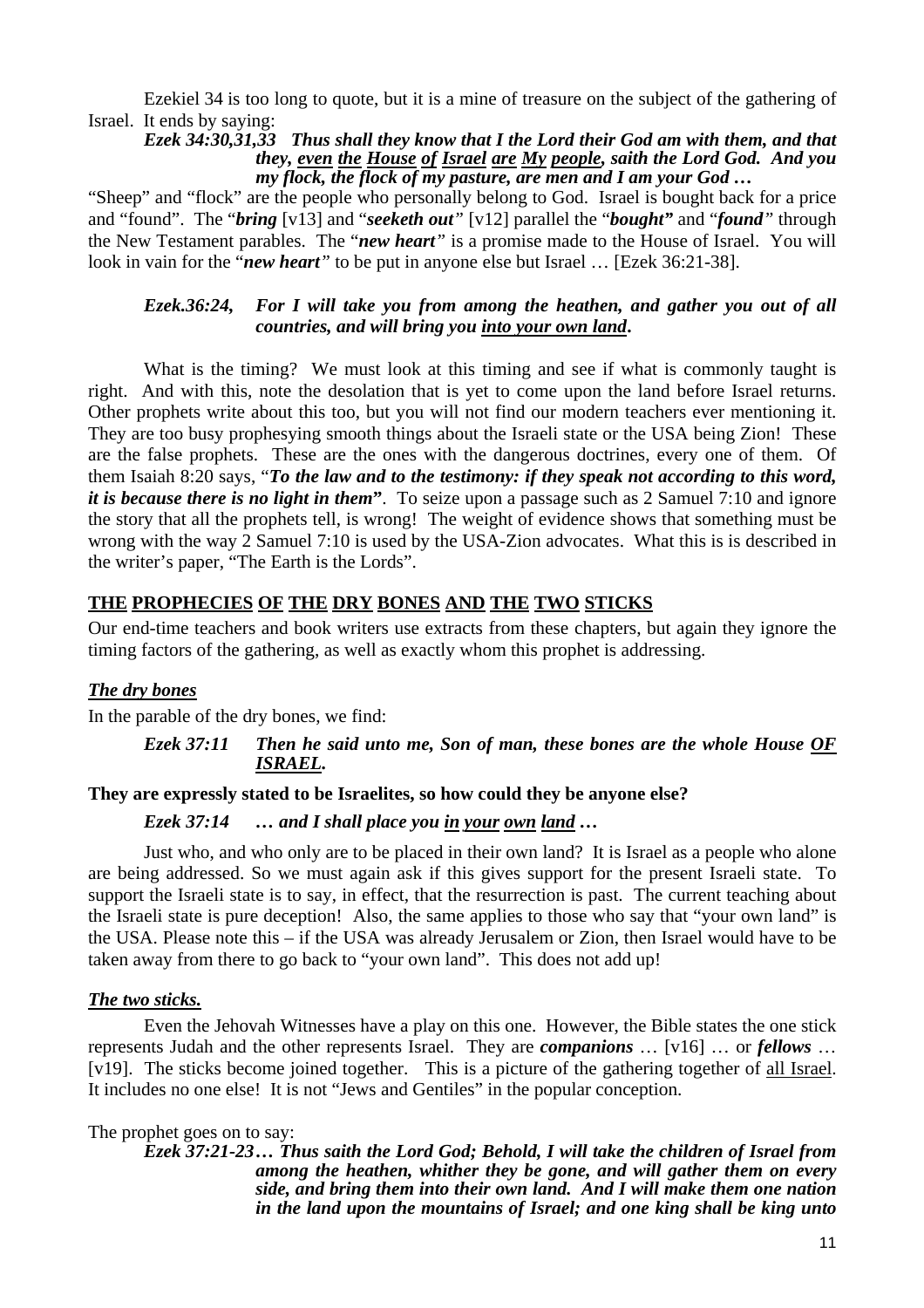Ezekiel 34 is too long to quote, but it is a mine of treasure on the subject of the gathering of Israel. It ends by saying:

### *Ezek 34:30,31,33 Thus shall they know that I the Lord their God am with them, and that they, even the House of Israel are My people, saith the Lord God. And you my flock, the flock of my pasture, are men and I am your God …*

"Sheep" and "flock" are the people who personally belong to God. Israel is bought back for a price and "found". The "*bring* [v13] and "*seeketh out"* [v12] parallel the "*bought"* and "*found"* through the New Testament parables. The "*new heart"* is a promise made to the House of Israel. You will look in vain for the "*new heart*" to be put in anyone else but Israel ... [Ezek 36:21-38].

# *Ezek.36:24, For I will take you from among the heathen, and gather you out of all countries, and will bring you into your own land***.**

What is the timing? We must look at this timing and see if what is commonly taught is right. And with this, note the desolation that is yet to come upon the land before Israel returns. Other prophets write about this too, but you will not find our modern teachers ever mentioning it. They are too busy prophesying smooth things about the Israeli state or the USA being Zion! These are the false prophets. These are the ones with the dangerous doctrines, every one of them. Of them Isaiah 8:20 says, "*To the law and to the testimony: if they speak not according to this word, it is because there is no light in them***"**. To seize upon a passage such as 2 Samuel 7:10 and ignore the story that all the prophets tell, is wrong! The weight of evidence shows that something must be wrong with the way 2 Samuel 7:10 is used by the USA-Zion advocates. What this is is described in the writer's paper, "The Earth is the Lords".

# **THE PROPHECIES OF THE DRY BONES AND THE TWO STICKS**

Our end-time teachers and book writers use extracts from these chapters, but again they ignore the timing factors of the gathering, as well as exactly whom this prophet is addressing.

# *The dry bones*

In the parable of the dry bones, we find:

### *Ezek 37:11 Then he said unto me, Son of man, these bones are the whole House OF ISRAEL.*

# **They are expressly stated to be Israelites, so how could they be anyone else?**

# *Ezek 37:14 … and I shall place you in your own land …*

Just who, and who only are to be placed in their own land? It is Israel as a people who alone are being addressed. So we must again ask if this gives support for the present Israeli state. To support the Israeli state is to say, in effect, that the resurrection is past. The current teaching about the Israeli state is pure deception! Also, the same applies to those who say that "your own land" is the USA. Please note this – if the USA was already Jerusalem or Zion, then Israel would have to be taken away from there to go back to "your own land". This does not add up!

# *The two sticks.*

Even the Jehovah Witnesses have a play on this one. However, the Bible states the one stick represents Judah and the other represents Israel. They are *companions* … [v16] … or *fellows* … [v19]. The sticks become joined together. This is a picture of the gathering together of all Israel. It includes no one else! It is not "Jews and Gentiles" in the popular conception.

### The prophet goes on to say:

*Ezek 37:21-23 … Thus saith the Lord God; Behold, I will take the children of Israel from among the heathen, whither they be gone, and will gather them on every side, and bring them into their own land. And I will make them one nation in the land upon the mountains of Israel; and one king shall be king unto*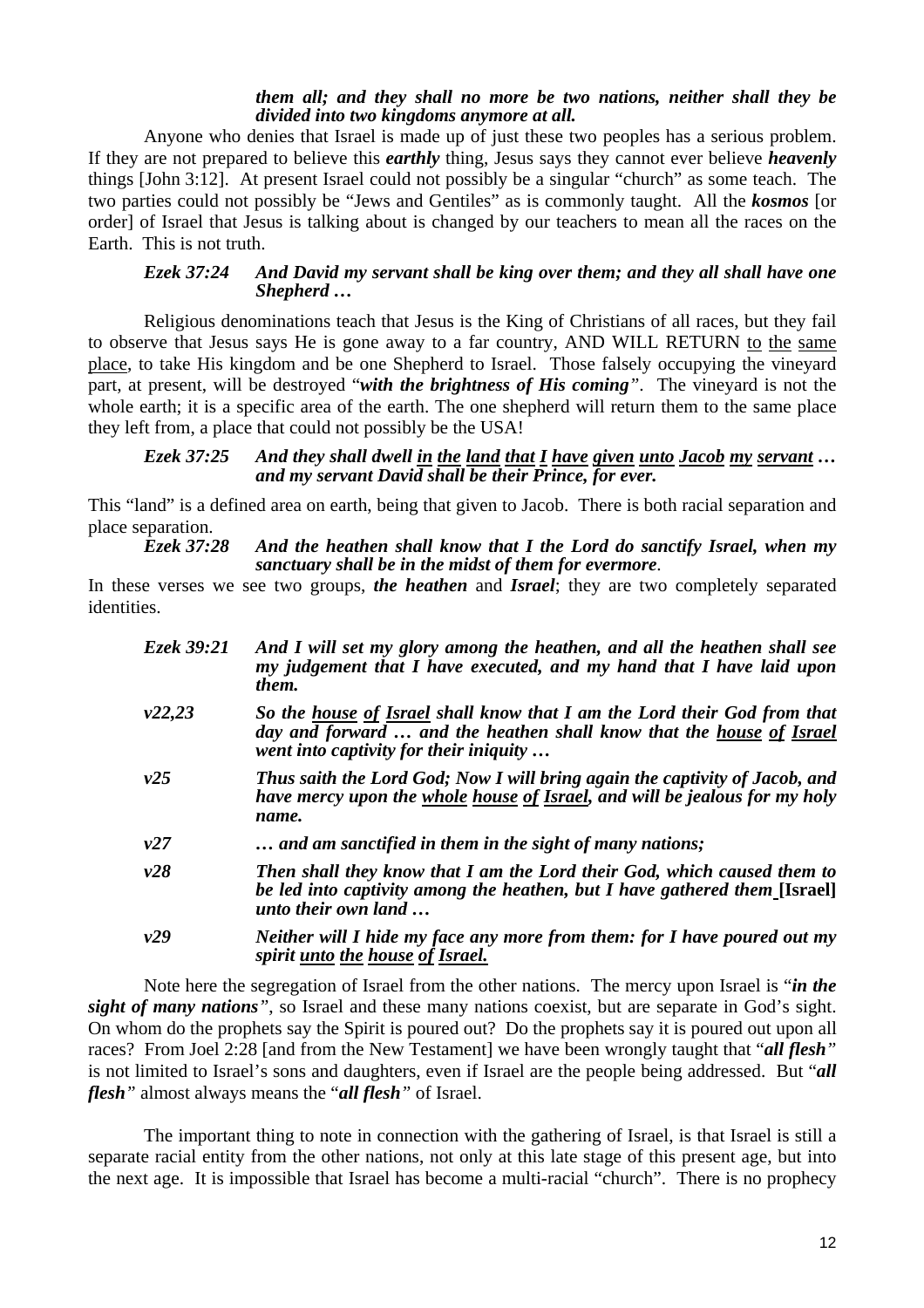#### *them all; and they shall no more be two nations, neither shall they be divided into two kingdoms anymore at all.*

Anyone who denies that Israel is made up of just these two peoples has a serious problem. If they are not prepared to believe this *earthly* thing, Jesus says they cannot ever believe *heavenly* things [John 3:12]. At present Israel could not possibly be a singular "church" as some teach. The two parties could not possibly be "Jews and Gentiles" as is commonly taught. All the *kosmos* [or order] of Israel that Jesus is talking about is changed by our teachers to mean all the races on the Earth. This is not truth.

#### *Ezek 37:24 And David my servant shall be king over them; and they all shall have one Shepherd …*

Religious denominations teach that Jesus is the King of Christians of all races, but they fail to observe that Jesus says He is gone away to a far country, AND WILL RETURN to the same place, to take His kingdom and be one Shepherd to Israel. Those falsely occupying the vineyard part, at present, will be destroyed "*with the brightness of His coming"*. The vineyard is not the whole earth; it is a specific area of the earth. The one shepherd will return them to the same place they left from, a place that could not possibly be the USA!

#### *Ezek 37:25 And they shall dwell in the land that I have given unto Jacob my servant … and my servant David shall be their Prince, for ever.*

This "land" is a defined area on earth, being that given to Jacob. There is both racial separation and place separation.

#### *Ezek 37:28 And the heathen shall know that I the Lord do sanctify Israel, when my sanctuary shall be in the midst of them for evermore.*

In these verses we see two groups, *the heathen* and *Israel*; they are two completely separated identities.

| Ezek 39:21 | And I will set my glory among the heathen, and all the heathen shall see<br>my judgement that I have executed, and my hand that I have laid upon<br>them.                                  |
|------------|--------------------------------------------------------------------------------------------------------------------------------------------------------------------------------------------|
| v22,23     | So the house of Israel shall know that I am the Lord their God from that<br>day and forward  and the heathen shall know that the house of Israel<br>went into captivity for their iniquity |
| v25        | Thus saith the Lord God; Now I will bring again the captivity of Jacob, and<br>have mercy upon the whole house of Israel, and will be jealous for my holy<br>name.                         |
| v27        | and am sanctified in them in the sight of many nations;                                                                                                                                    |
| v28        | Then shall they know that I am the Lord their God, which caused them to<br>be led into captivity among the heathen, but I have gathered them [Israel]<br>unto their own land               |
| v29        | Neither will I hide my face any more from them: for I have poured out my<br>spirit unto the house of Israel.                                                                               |

Note here the segregation of Israel from the other nations. The mercy upon Israel is "*in the sight of many nations"*, so Israel and these many nations coexist, but are separate in God's sight. On whom do the prophets say the Spirit is poured out? Do the prophets say it is poured out upon all races? From Joel 2:28 [and from the New Testament] we have been wrongly taught that "*all flesh"* is not limited to Israel's sons and daughters, even if Israel are the people being addressed. But "*all flesh"* almost always means the "*all flesh"* of Israel.

The important thing to note in connection with the gathering of Israel, is that Israel is still a separate racial entity from the other nations, not only at this late stage of this present age, but into the next age. It is impossible that Israel has become a multi-racial "church". There is no prophecy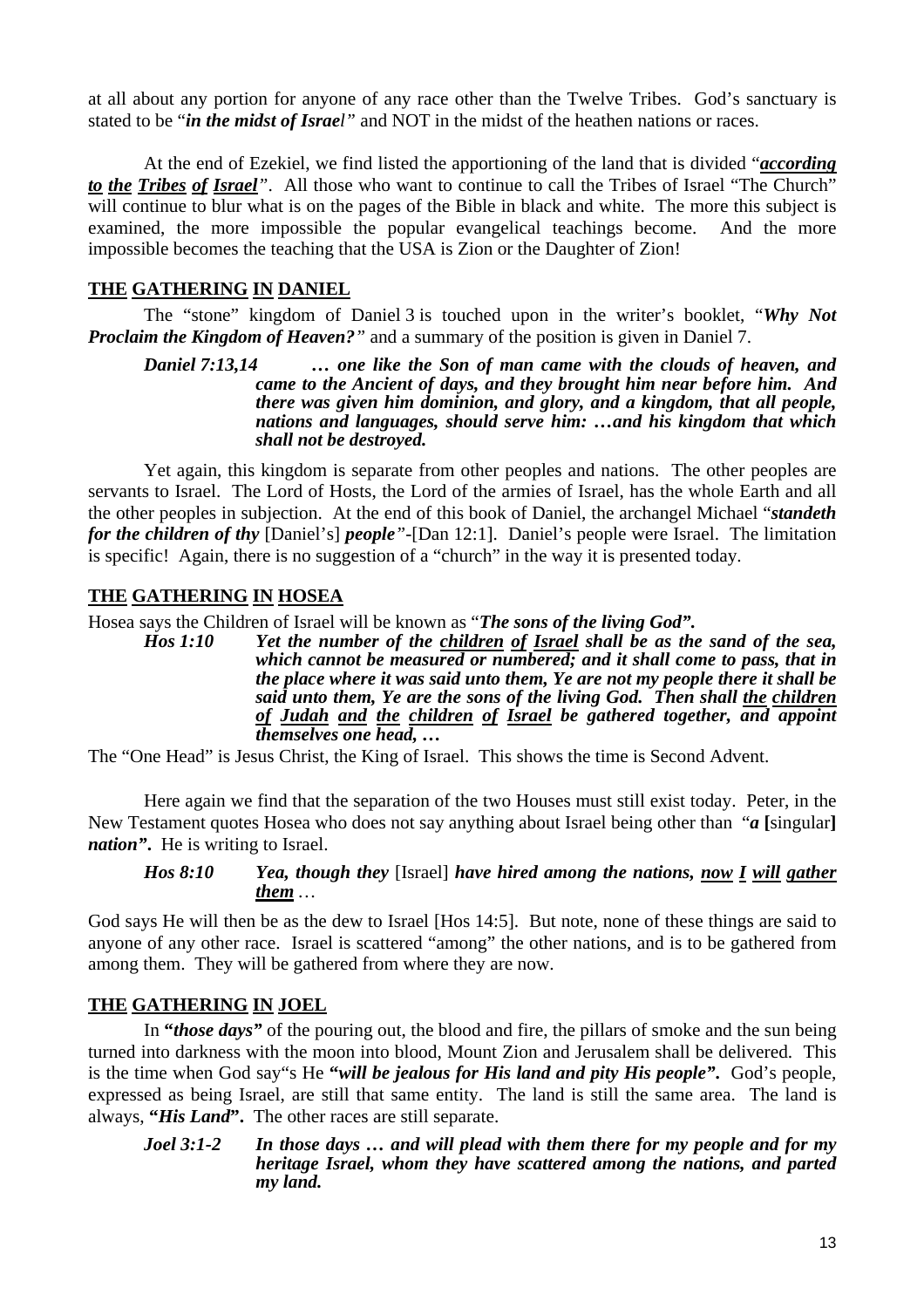at all about any portion for anyone of any race other than the Twelve Tribes. God's sanctuary is stated to be "*in the midst of Israel"* and NOT in the midst of the heathen nations or races.

At the end of Ezekiel, we find listed the apportioning of the land that is divided "*according to the Tribes of Israel*<sup>"</sup>. All those who want to continue to call the Tribes of Israel "The Church" will continue to blur what is on the pages of the Bible in black and white. The more this subject is examined, the more impossible the popular evangelical teachings become. And the more impossible becomes the teaching that the USA is Zion or the Daughter of Zion!

# **THE GATHERING IN DANIEL**

The "stone" kingdom of Daniel 3 is touched upon in the writer's booklet, "*Why Not Proclaim the Kingdom of Heaven?*<sup>*"*</sup> and a summary of the position is given in Daniel 7.

*Daniel 7:13,14 … one like the Son of man came with the clouds of heaven, and came to the Ancient of days, and they brought him near before him. And there was given him dominion, and glory, and a kingdom, that all people, nations and languages, should serve him: …and his kingdom that which shall not be destroyed.* 

Yet again, this kingdom is separate from other peoples and nations. The other peoples are servants to Israel. The Lord of Hosts, the Lord of the armies of Israel, has the whole Earth and all the other peoples in subjection. At the end of this book of Daniel, the archangel Michael "*standeth for the children of thy* [Daniel's] *people"-*[Dan 12:1]. Daniel's people were Israel. The limitation is specific! Again, there is no suggestion of a "church" in the way it is presented today.

# **THE GATHERING IN HOSEA**

Hosea says the Children of Israel will be known as "*The sons of the living God".*

*Hos 1:10 Yet the number of the children of Israel shall be as the sand of the sea, which cannot be measured or numbered; and it shall come to pass, that in the place where it was said unto them, Ye are not my people there it shall be said unto them, Ye are the sons of the living God. Then shall the children of Judah and the children of Israel be gathered together, and appoint themselves one head, …* 

The "One Head" is Jesus Christ, the King of Israel. This shows the time is Second Advent.

Here again we find that the separation of the two Houses must still exist today. Peter, in the New Testament quotes Hosea who does not say anything about Israel being other than "*a* **[**singular**]** *nation"***.** He is writing to Israel.

# *Hos 8:10 Yea, though they* [Israel] *have hired among the nations, now I will gather them …*

God says He will then be as the dew to Israel [Hos 14:5]. But note, none of these things are said to anyone of any other race. Israel is scattered "among" the other nations, and is to be gathered from among them. They will be gathered from where they are now.

# **THE GATHERING IN JOEL**

In **"***those days"* of the pouring out, the blood and fire, the pillars of smoke and the sun being turned into darkness with the moon into blood, Mount Zion and Jerusalem shall be delivered. This is the time when God say"s He **"***will be jealous for His land and pity His people"***.** God's people, expressed as being Israel, are still that same entity. The land is still the same area. The land is always, **"***His Land***".** The other races are still separate.

### *Joel 3:1-2 In those days … and will plead with them there for my people and for my heritage Israel, whom they have scattered among the nations, and parted my land.*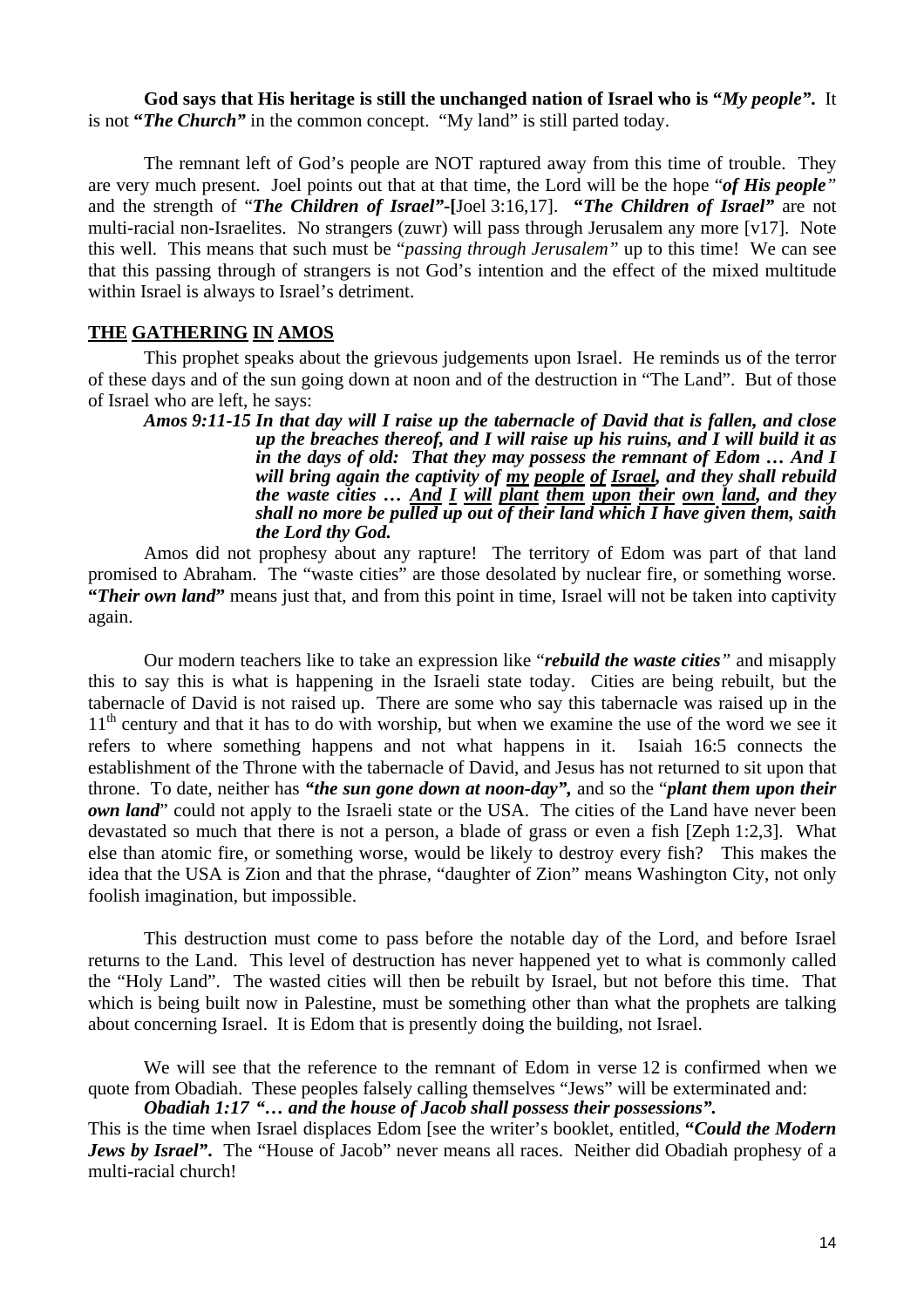**God says that His heritage is still the unchanged nation of Israel who is "***My people"***.** It is not **"***The Church"* in the common concept. "My land" is still parted today.

The remnant left of God's people are NOT raptured away from this time of trouble. They are very much present. Joel points out that at that time, the Lord will be the hope "*of His people"* and the strength of "*The Children of Israel"-***[**Joel 3:16,17]. **"***The Children of Israel"* are not multi-racial non-Israelites. No strangers (zuwr) will pass through Jerusalem any more [v17]. Note this well. This means that such must be "*passing through Jerusalem"* up to this time! We can see that this passing through of strangers is not God's intention and the effect of the mixed multitude within Israel is always to Israel's detriment.

### **THE GATHERING IN AMOS**

This prophet speaks about the grievous judgements upon Israel. He reminds us of the terror of these days and of the sun going down at noon and of the destruction in "The Land". But of those of Israel who are left, he says:

*Amos 9:11-15 In that day will I raise up the tabernacle of David that is fallen, and close up the breaches thereof, and I will raise up his ruins, and I will build it as in the days of old: That they may possess the remnant of Edom … And I will bring again the captivity of my people of Israel, and they shall rebuild the waste cities … And I will plant them upon their own land, and they shall no more be pulled up out of their land which I have given them, saith the Lord thy God.* 

Amos did not prophesy about any rapture! The territory of Edom was part of that land promised to Abraham. The "waste cities" are those desolated by nuclear fire, or something worse. **"***Their own land***"** means just that, and from this point in time, Israel will not be taken into captivity again.

Our modern teachers like to take an expression like "*rebuild the waste cities"* and misapply this to say this is what is happening in the Israeli state today. Cities are being rebuilt, but the tabernacle of David is not raised up. There are some who say this tabernacle was raised up in the  $11<sup>th</sup>$  century and that it has to do with worship, but when we examine the use of the word we see it refers to where something happens and not what happens in it. Isaiah 16:5 connects the establishment of the Throne with the tabernacle of David, and Jesus has not returned to sit upon that throne. To date, neither has *"the sun gone down at noon-day",* and so the "*plant them upon their own land*" could not apply to the Israeli state or the USA. The cities of the Land have never been devastated so much that there is not a person, a blade of grass or even a fish [Zeph 1:2,3]. What else than atomic fire, or something worse, would be likely to destroy every fish? This makes the idea that the USA is Zion and that the phrase, "daughter of Zion" means Washington City, not only foolish imagination, but impossible.

This destruction must come to pass before the notable day of the Lord, and before Israel returns to the Land. This level of destruction has never happened yet to what is commonly called the "Holy Land". The wasted cities will then be rebuilt by Israel, but not before this time. That which is being built now in Palestine, must be something other than what the prophets are talking about concerning Israel. It is Edom that is presently doing the building, not Israel.

We will see that the reference to the remnant of Edom in verse 12 is confirmed when we quote from Obadiah. These peoples falsely calling themselves "Jews" will be exterminated and:

# *Obadiah 1:17 "… and the house of Jacob shall possess their possessions".*

This is the time when Israel displaces Edom [see the writer's booklet, entitled, **"***Could the Modern Jews by Israel"*. The "House of Jacob" never means all races. Neither did Obadiah prophesy of a multi-racial church!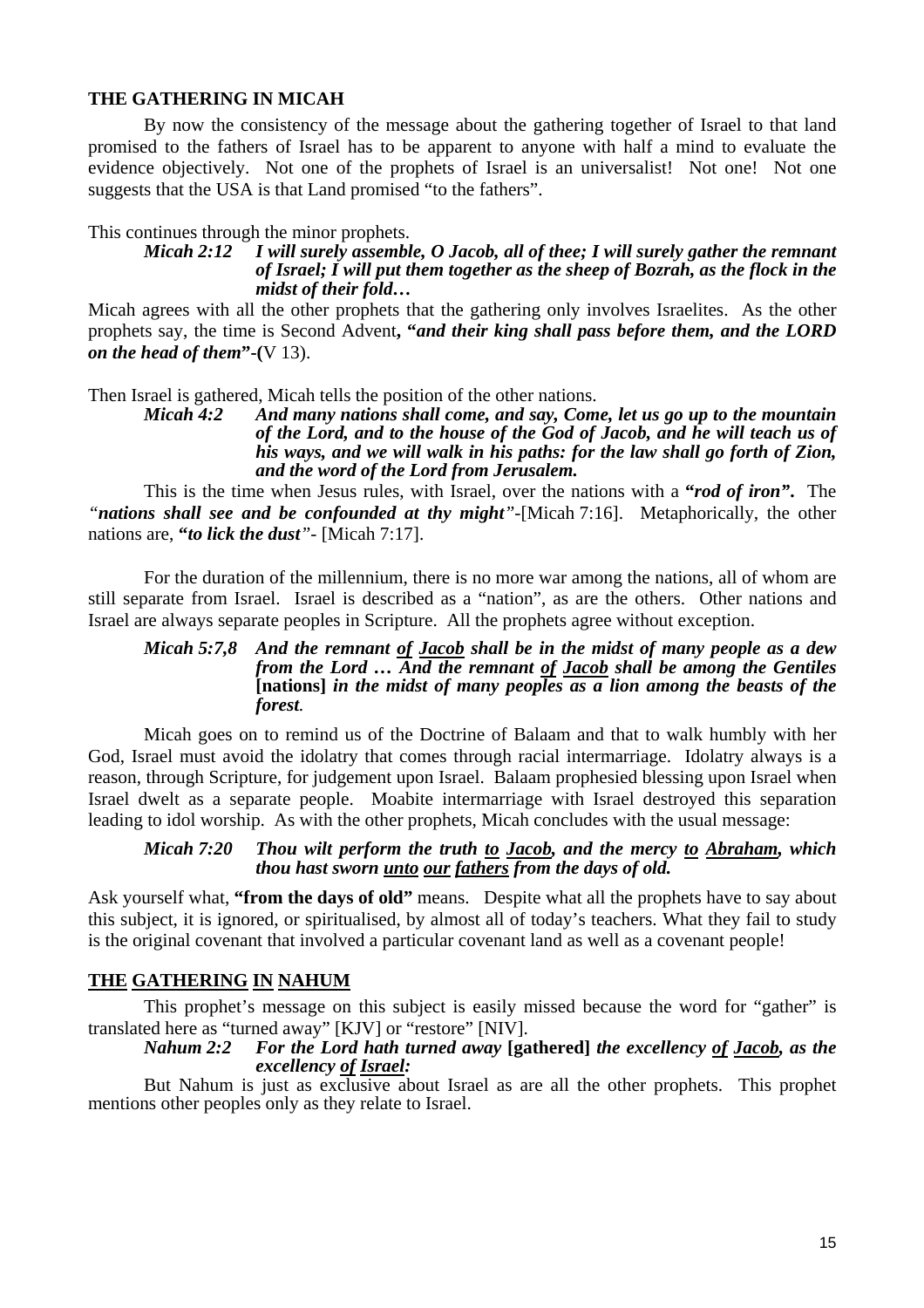### **THE GATHERING IN MICAH**

By now the consistency of the message about the gathering together of Israel to that land promised to the fathers of Israel has to be apparent to anyone with half a mind to evaluate the evidence objectively. Not one of the prophets of Israel is an universalist! Not one! Not one suggests that the USA is that Land promised "to the fathers".

This continues through the minor prophets.

#### *Micah 2:12* I will surely assemble, O Jacob, all of thee: I will surely gather the remnant *of Israel; I will put them together as the sheep of Bozrah, as the flock in the midst of their fold…*

Micah agrees with all the other prophets that the gathering only involves Israelites. As the other prophets say, the time is Second Advent**, "***and their king shall pass before them, and the LORD on the head of them***"-(**V 13).

Then Israel is gathered, Micah tells the position of the other nations.

*Micah 4:2 And many nations shall come, and say, Come, let us go up to the mountain of the Lord, and to the house of the God of Jacob, and he will teach us of his ways, and we will walk in his paths: for the law shall go forth of Zion, and the word of the Lord from Jerusalem.* 

This is the time when Jesus rules, with Israel, over the nations with a **"***rod of iron"***.** The *"nations shall see and be confounded at thy might"-*[Micah 7:16]. Metaphorically, the other nations are, **"***to lick the dust"-* [Micah 7:17].

For the duration of the millennium, there is no more war among the nations, all of whom are still separate from Israel. Israel is described as a "nation", as are the others. Other nations and Israel are always separate peoples in Scripture. All the prophets agree without exception.

#### *Micah 5:7,8 And the remnant of Jacob shall be in the midst of many people as a dew from the Lord … And the remnant of Jacob shall be among the Gentiles*  **[nations]** *in the midst of many peoples as a lion among the beasts of the forest.*

Micah goes on to remind us of the Doctrine of Balaam and that to walk humbly with her God, Israel must avoid the idolatry that comes through racial intermarriage. Idolatry always is a reason, through Scripture, for judgement upon Israel. Balaam prophesied blessing upon Israel when Israel dwelt as a separate people. Moabite intermarriage with Israel destroyed this separation leading to idol worship. As with the other prophets, Micah concludes with the usual message:

### *Micah 7:20 Thou wilt perform the truth to Jacob, and the mercy to Abraham, which thou hast sworn unto our fathers from the days of old.*

Ask yourself what, **"from the days of old"** means. Despite what all the prophets have to say about this subject, it is ignored, or spiritualised, by almost all of today's teachers. What they fail to study is the original covenant that involved a particular covenant land as well as a covenant people!

# **THE GATHERING IN NAHUM**

This prophet's message on this subject is easily missed because the word for "gather" is translated here as "turned away" [KJV] or "restore" [NIV].

### *Nahum 2:2 For the Lord hath turned away* **[gathered]** *the excellency of Jacob, as the excellency of Israel:*

But Nahum is just as exclusive about Israel as are all the other prophets. This prophet mentions other peoples only as they relate to Israel.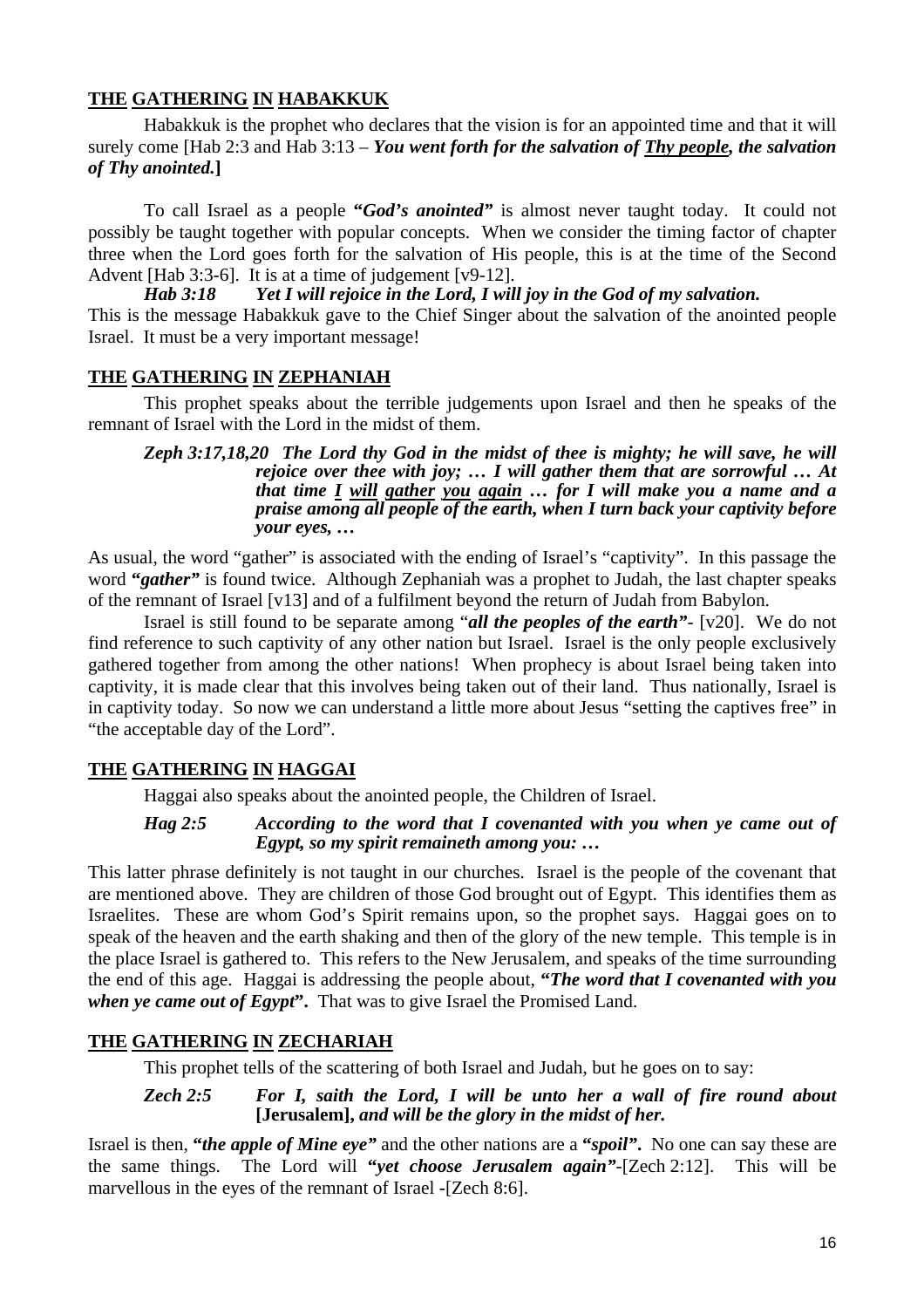# **THE GATHERING IN HABAKKUK**

Habakkuk is the prophet who declares that the vision is for an appointed time and that it will surely come [Hab 2:3 and Hab 3:13 – *You went forth for the salvation of Thy people, the salvation of Thy anointed.***]** 

To call Israel as a people **"***God's anointed"* is almost never taught today. It could not possibly be taught together with popular concepts. When we consider the timing factor of chapter three when the Lord goes forth for the salvation of His people, this is at the time of the Second Advent [Hab 3:3-6]. It is at a time of judgement [v9-12].

*Hab 3:18 Yet I will rejoice in the Lord, I will joy in the God of my salvation.*  This is the message Habakkuk gave to the Chief Singer about the salvation of the anointed people Israel. It must be a very important message!

# **THE GATHERING IN ZEPHANIAH**

This prophet speaks about the terrible judgements upon Israel and then he speaks of the remnant of Israel with the Lord in the midst of them.

*Zeph 3:17,18,20 The Lord thy God in the midst of thee is mighty; he will save, he will rejoice over thee with joy; … I will gather them that are sorrowful … At that time I will gather you again … for I will make you a name and a praise among all people of the earth, when I turn back your captivity before your eyes, …* 

As usual, the word "gather" is associated with the ending of Israel's "captivity". In this passage the word **"***gather"* is found twice. Although Zephaniah was a prophet to Judah, the last chapter speaks of the remnant of Israel [v13] and of a fulfilment beyond the return of Judah from Babylon.

Israel is still found to be separate among "*all the peoples of the earth"-* [v20]. We do not find reference to such captivity of any other nation but Israel. Israel is the only people exclusively gathered together from among the other nations! When prophecy is about Israel being taken into captivity, it is made clear that this involves being taken out of their land. Thus nationally, Israel is in captivity today. So now we can understand a little more about Jesus "setting the captives free" in "the acceptable day of the Lord".

# **THE GATHERING IN HAGGAI**

Haggai also speaks about the anointed people, the Children of Israel.

### *Hag 2:5 According to the word that I covenanted with you when ye came out of Egypt, so my spirit remaineth among you: …*

This latter phrase definitely is not taught in our churches. Israel is the people of the covenant that are mentioned above. They are children of those God brought out of Egypt. This identifies them as Israelites. These are whom God's Spirit remains upon, so the prophet says. Haggai goes on to speak of the heaven and the earth shaking and then of the glory of the new temple. This temple is in the place Israel is gathered to. This refers to the New Jerusalem, and speaks of the time surrounding the end of this age. Haggai is addressing the people about, **"***The word that I covenanted with you when ye came out of Egypt***".** That was to give Israel the Promised Land.

# **THE GATHERING IN ZECHARIAH**

This prophet tells of the scattering of both Israel and Judah, but he goes on to say:

*Zech 2:5 For I, saith the Lord, I will be unto her a wall of fire round about*  **[Jerusalem],** *and will be the glory in the midst of her.* 

Israel is then, **"***the apple of Mine eye"* and the other nations are a **"***spoil"***.** No one can say these are the same things. The Lord will **"***yet choose Jerusalem again"-*[Zech 2:12]. This will be marvellous in the eyes of the remnant of Israel -[Zech 8:6].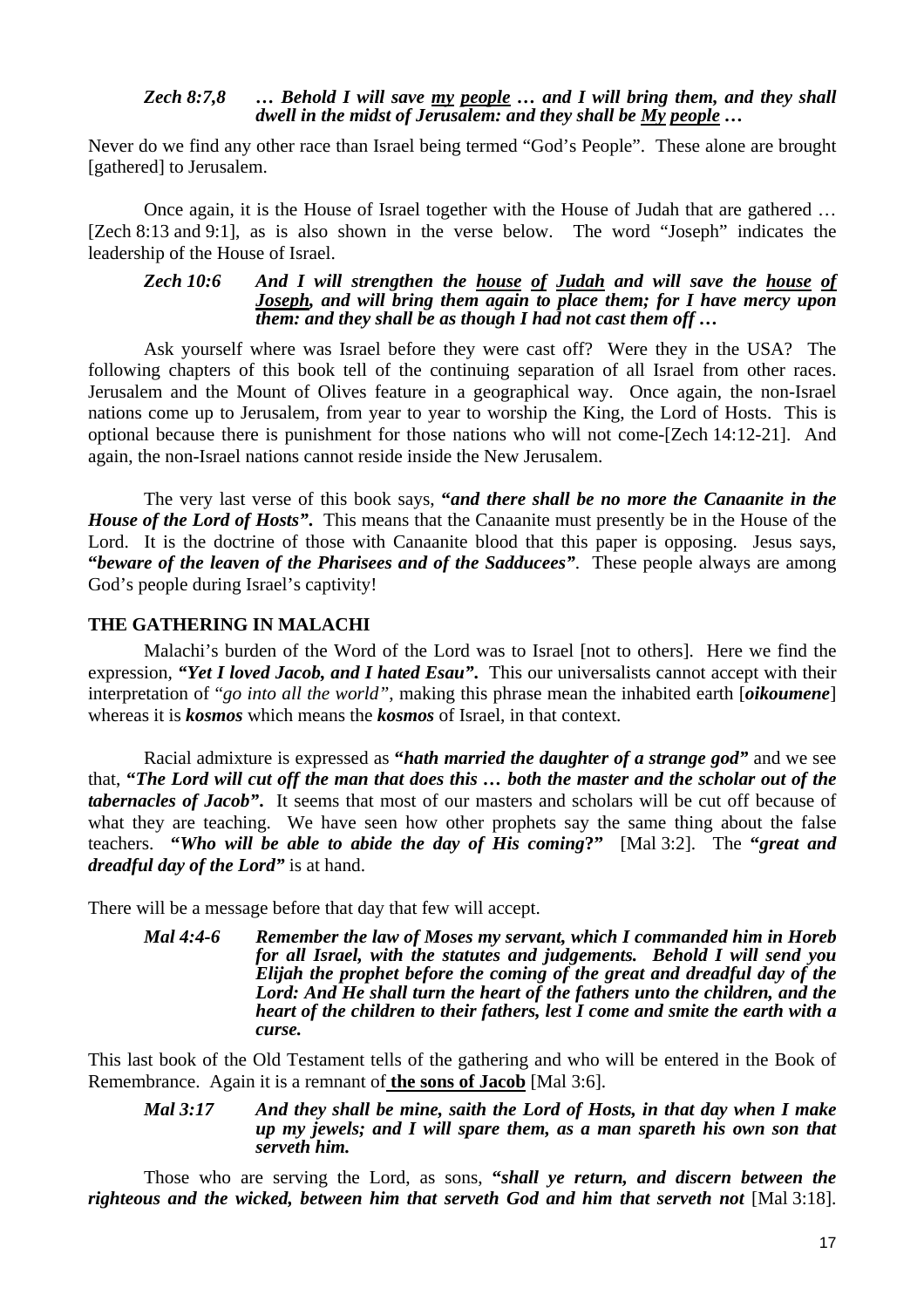#### *Zech 8:7,8 … Behold I will save my people … and I will bring them, and they shall dwell in the midst of Jerusalem: and they shall be My people …*

Never do we find any other race than Israel being termed "God's People". These alone are brought [gathered] to Jerusalem.

Once again, it is the House of Israel together with the House of Judah that are gathered … [Zech 8:13 and 9:1], as is also shown in the verse below. The word "Joseph" indicates the leadership of the House of Israel.

*Zech 10:6 And I will strengthen the house of Judah and will save the house of Joseph, and will bring them again to place them; for I have mercy upon them: and they shall be as though I had not cast them off …* 

Ask yourself where was Israel before they were cast off? Were they in the USA? The following chapters of this book tell of the continuing separation of all Israel from other races. Jerusalem and the Mount of Olives feature in a geographical way. Once again, the non-Israel nations come up to Jerusalem, from year to year to worship the King, the Lord of Hosts. This is optional because there is punishment for those nations who will not come-[Zech 14:12-21]. And again, the non-Israel nations cannot reside inside the New Jerusalem.

The very last verse of this book says, **"***and there shall be no more the Canaanite in the House of the Lord of Hosts"***.** This means that the Canaanite must presently be in the House of the Lord. It is the doctrine of those with Canaanite blood that this paper is opposing. Jesus says, **"***beware of the leaven of the Pharisees and of the Sadducees"*. These people always are among God's people during Israel's captivity!

### **THE GATHERING IN MALACHI**

Malachi's burden of the Word of the Lord was to Israel [not to others]. Here we find the expression*, "Yet I loved Jacob, and I hated Esau"***.** This our universalists cannot accept with their interpretation of "*go into all the world"*, making this phrase mean the inhabited earth [*oikoumene*] whereas it is *kosmos* which means the *kosmos* of Israel, in that context.

Racial admixture is expressed as **"***hath married the daughter of a strange god"* and we see that, **"***The Lord will cut off the man that does this … both the master and the scholar out of the tabernacles of Jacob"***.** It seems that most of our masters and scholars will be cut off because of what they are teaching. We have seen how other prophets say the same thing about the false teachers. **"***Who will be able to abide the day of His coming***?"** [Mal 3:2]. The **"***great and dreadful day of the Lord"* is at hand.

There will be a message before that day that few will accept.

*Mal 4:4-6 Remember the law of Moses my servant, which I commanded him in Horeb for all Israel, with the statutes and judgements. Behold I will send you Elijah the prophet before the coming of the great and dreadful day of the Lord: And He shall turn the heart of the fathers unto the children, and the heart of the children to their fathers, lest I come and smite the earth with a curse.* 

This last book of the Old Testament tells of the gathering and who will be entered in the Book of Remembrance. Again it is a remnant of **the sons of Jacob** [Mal 3:6].

*Mal 3:17 And they shall be mine, saith the Lord of Hosts, in that day when I make up my jewels; and I will spare them, as a man spareth his own son that serveth him.* 

Those who are serving the Lord, as sons, **"***shall ye return, and discern between the righteous and the wicked, between him that serveth God and him that serveth not* [Mal 3:18].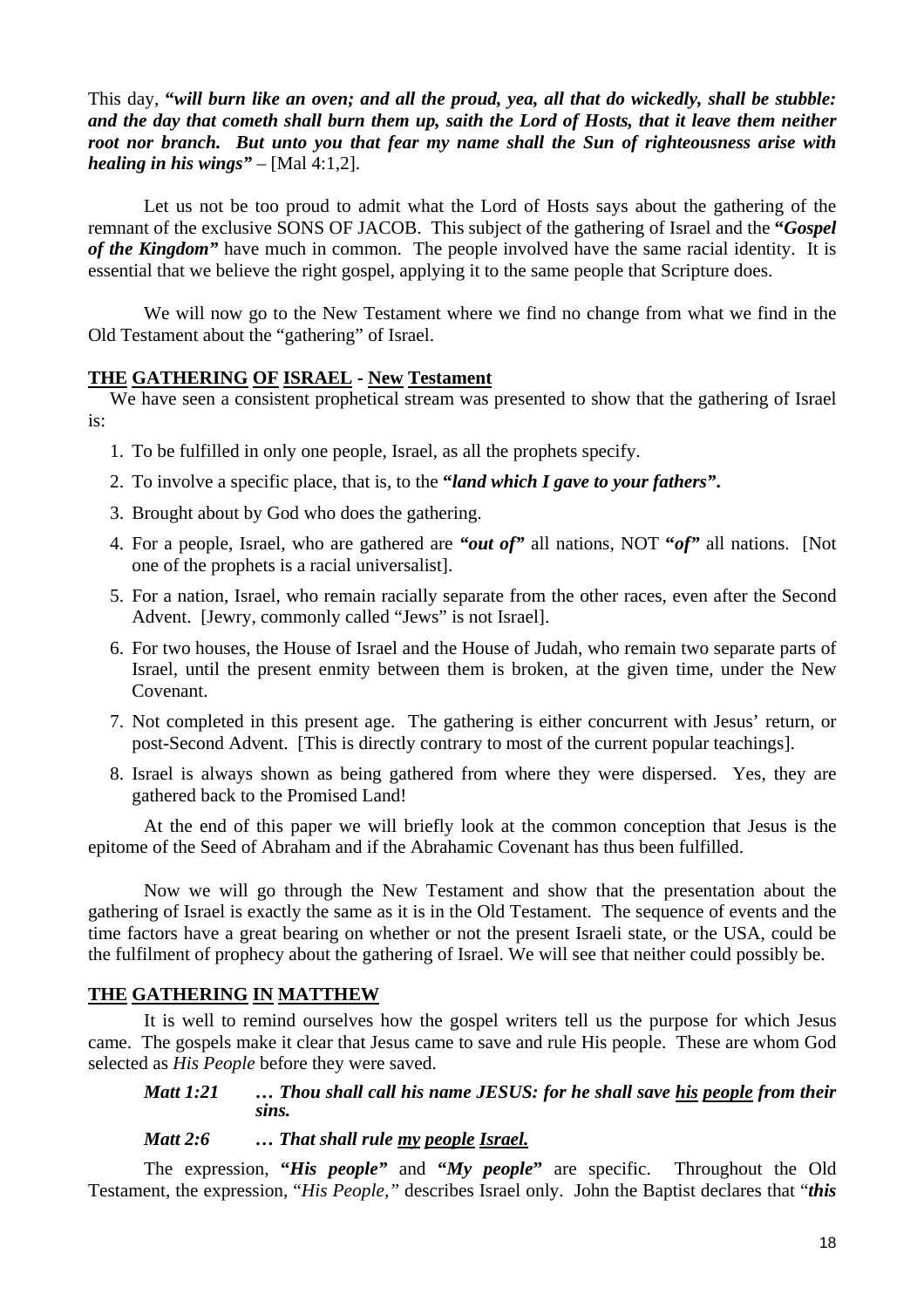### This day, **"***will burn like an oven; and all the proud, yea, all that do wickedly, shall be stubble: and the day that cometh shall burn them up, saith the Lord of Hosts, that it leave them neither root nor branch. But unto you that fear my name shall the Sun of righteousness arise with healing in his wings*" – [Mal 4:1,2].

Let us not be too proud to admit what the Lord of Hosts says about the gathering of the remnant of the exclusive SONS OF JACOB. This subject of the gathering of Israel and the **"***Gospel of the Kingdom"* have much in common. The people involved have the same racial identity. It is essential that we believe the right gospel, applying it to the same people that Scripture does.

We will now go to the New Testament where we find no change from what we find in the Old Testament about the "gathering" of Israel.

### **THE GATHERING OF ISRAEL - New Testament**

We have seen a consistent prophetical stream was presented to show that the gathering of Israel is:

- 1. To be fulfilled in only one people, Israel, as all the prophets specify.
- 2. To involve a specific place, that is, to the **"***land which I gave to your fathers"***.**
- 3. Brought about by God who does the gathering.
- 4. For a people, Israel, who are gathered are *"out of"* all nations, NOT **"***of"* all nations. [Not one of the prophets is a racial universalist].
- 5. For a nation, Israel, who remain racially separate from the other races, even after the Second Advent. [Jewry, commonly called "Jews" is not Israel].
- 6. For two houses, the House of Israel and the House of Judah, who remain two separate parts of Israel, until the present enmity between them is broken, at the given time, under the New Covenant.
- 7. Not completed in this present age. The gathering is either concurrent with Jesus' return, or post-Second Advent. [This is directly contrary to most of the current popular teachings].
- 8. Israel is always shown as being gathered from where they were dispersed. Yes, they are gathered back to the Promised Land!

At the end of this paper we will briefly look at the common conception that Jesus is the epitome of the Seed of Abraham and if the Abrahamic Covenant has thus been fulfilled.

Now we will go through the New Testament and show that the presentation about the gathering of Israel is exactly the same as it is in the Old Testament. The sequence of events and the time factors have a great bearing on whether or not the present Israeli state, or the USA, could be the fulfilment of prophecy about the gathering of Israel. We will see that neither could possibly be.

### **THE GATHERING IN MATTHEW**

It is well to remind ourselves how the gospel writers tell us the purpose for which Jesus came. The gospels make it clear that Jesus came to save and rule His people. These are whom God selected as *His People* before they were saved.

### *Matt 1:21 … Thou shall call his name JESUS: for he shall save his people from their sins.*

### *Matt 2:6 … That shall rule my people Israel.*

The expression, **"***His people"* and **"***My people***"** are specific. Throughout the Old Testament, the expression, "*His People,"* describes Israel only. John the Baptist declares that "*this*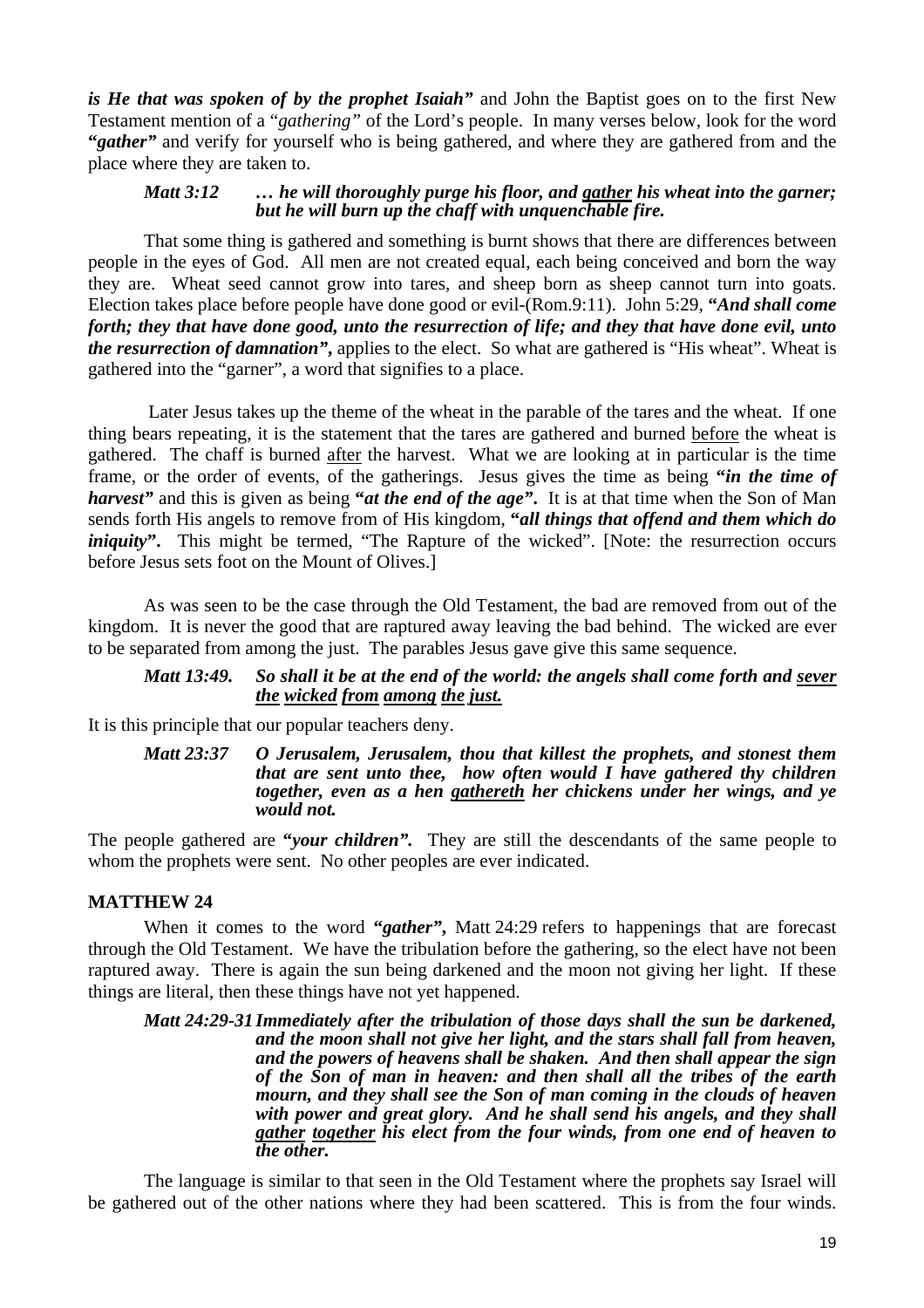*is He that was spoken of by the prophet Isaiah"* and John the Baptist goes on to the first New Testament mention of a "*gathering"* of the Lord's people. In many verses below, look for the word **"***gather"* and verify for yourself who is being gathered, and where they are gathered from and the place where they are taken to.

### *Matt 3:12 … he will thoroughly purge his floor, and gather his wheat into the garner; but he will burn up the chaff with unquenchable fire.*

That some thing is gathered and something is burnt shows that there are differences between people in the eyes of God. All men are not created equal, each being conceived and born the way they are. Wheat seed cannot grow into tares, and sheep born as sheep cannot turn into goats. Election takes place before people have done good or evil-(Rom.9:11). John 5:29, **"***And shall come forth; they that have done good, unto the resurrection of life; and they that have done evil, unto the resurrection of damnation"***,** applies to the elect. So what are gathered is "His wheat". Wheat is gathered into the "garner", a word that signifies to a place.

 Later Jesus takes up the theme of the wheat in the parable of the tares and the wheat. If one thing bears repeating, it is the statement that the tares are gathered and burned before the wheat is gathered. The chaff is burned after the harvest. What we are looking at in particular is the time frame, or the order of events, of the gatherings. Jesus gives the time as being **"***in the time of harvest"* and this is given as being **"***at the end of the age"***.** It is at that time when the Son of Man sends forth His angels to remove from of His kingdom, **"***all things that offend and them which do iniquity*". This might be termed, "The Rapture of the wicked". [Note: the resurrection occurs before Jesus sets foot on the Mount of Olives.]

As was seen to be the case through the Old Testament, the bad are removed from out of the kingdom. It is never the good that are raptured away leaving the bad behind. The wicked are ever to be separated from among the just. The parables Jesus gave give this same sequence.

### *Matt 13:49. So shall it be at the end of the world: the angels shall come forth and sever the wicked from among the just.*

It is this principle that our popular teachers deny.

*Matt 23:37 O Jerusalem, Jerusalem, thou that killest the prophets, and stonest them that are sent unto thee, how often would I have gathered thy children together, even as a hen gathereth her chickens under her wings, and ye would not.* 

The people gathered are **"***your children".* They are still the descendants of the same people to whom the prophets were sent. No other peoples are ever indicated.

### **MATTHEW 24**

When it comes to the word **"***gather"***,** Matt 24:29 refers to happenings that are forecast through the Old Testament. We have the tribulation before the gathering, so the elect have not been raptured away. There is again the sun being darkened and the moon not giving her light. If these things are literal, then these things have not yet happened.

*Matt 24:29-31 Immediately after the tribulation of those days shall the sun be darkened, and the moon shall not give her light, and the stars shall fall from heaven, and the powers of heavens shall be shaken. And then shall appear the sign of the Son of man in heaven: and then shall all the tribes of the earth mourn, and they shall see the Son of man coming in the clouds of heaven with power and great glory. And he shall send his angels, and they shall gather together his elect from the four winds, from one end of heaven to the other.* 

The language is similar to that seen in the Old Testament where the prophets say Israel will be gathered out of the other nations where they had been scattered. This is from the four winds.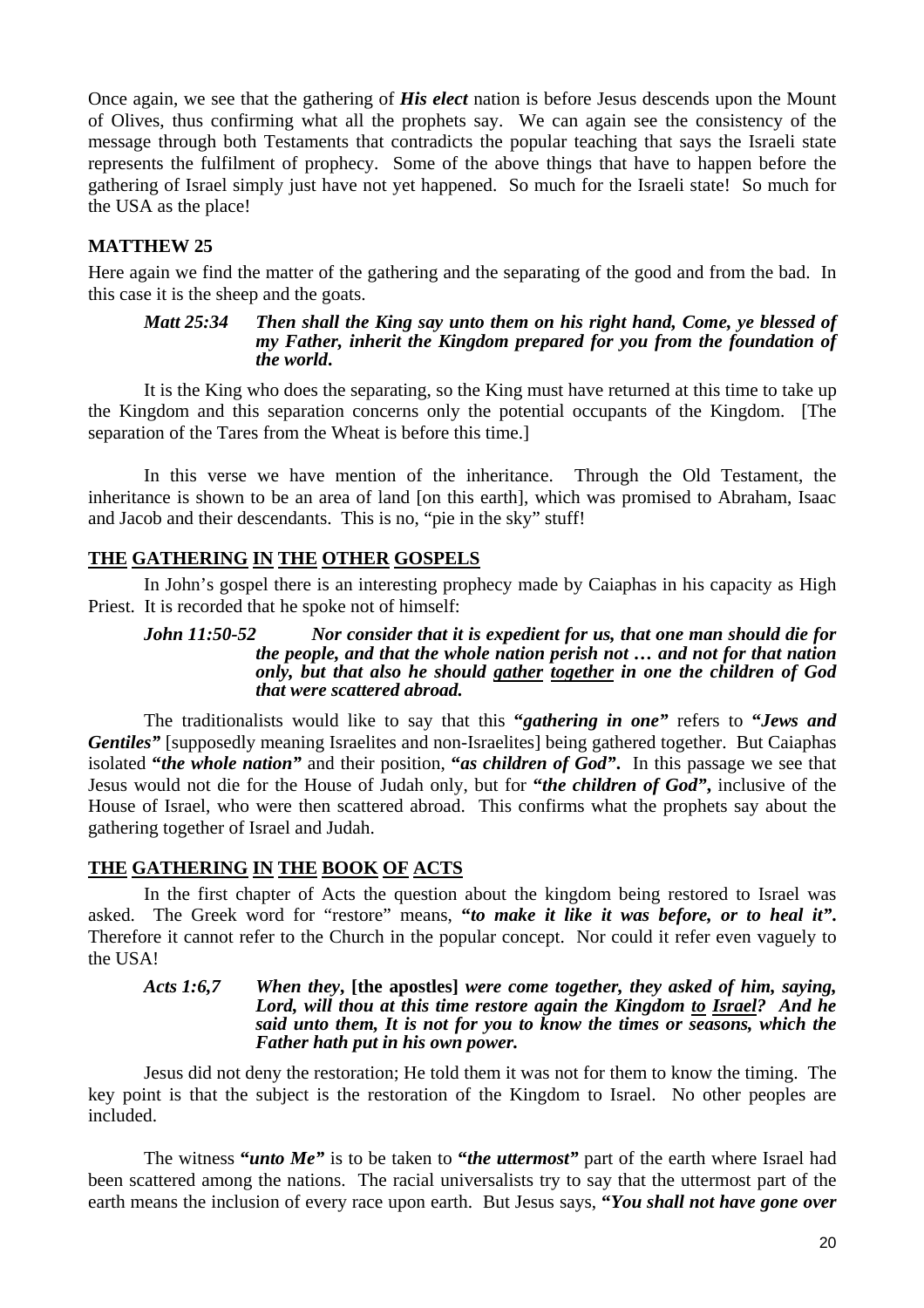Once again, we see that the gathering of *His elect* nation is before Jesus descends upon the Mount of Olives, thus confirming what all the prophets say. We can again see the consistency of the message through both Testaments that contradicts the popular teaching that says the Israeli state represents the fulfilment of prophecy. Some of the above things that have to happen before the gathering of Israel simply just have not yet happened. So much for the Israeli state! So much for the USA as the place!

# **MATTHEW 25**

Here again we find the matter of the gathering and the separating of the good and from the bad. In this case it is the sheep and the goats.

#### *Matt 25:34 Then shall the King say unto them on his right hand, Come, ye blessed of my Father, inherit the Kingdom prepared for you from the foundation of the world***.**

It is the King who does the separating, so the King must have returned at this time to take up the Kingdom and this separation concerns only the potential occupants of the Kingdom. [The separation of the Tares from the Wheat is before this time.]

In this verse we have mention of the inheritance. Through the Old Testament, the inheritance is shown to be an area of land [on this earth], which was promised to Abraham, Isaac and Jacob and their descendants. This is no, "pie in the sky" stuff!

# **THE GATHERING IN THE OTHER GOSPELS**

In John's gospel there is an interesting prophecy made by Caiaphas in his capacity as High Priest. It is recorded that he spoke not of himself:

*John 11:50-52 Nor consider that it is expedient for us, that one man should die for the people, and that the whole nation perish not … and not for that nation only, but that also he should gather together in one the children of God that were scattered abroad.* 

The traditionalists would like to say that this **"***gathering in one"* refers to **"***Jews and Gentiles*" [supposedly meaning Israelites and non-Israelites] being gathered together. But Caiaphas isolated **"***the whole nation"* and their position, **"***as children of God"***.** In this passage we see that Jesus would not die for the House of Judah only, but for **"***the children of God"***,** inclusive of the House of Israel, who were then scattered abroad. This confirms what the prophets say about the gathering together of Israel and Judah.

# **THE GATHERING IN THE BOOK OF ACTS**

In the first chapter of Acts the question about the kingdom being restored to Israel was asked. The Greek word for "restore" means, **"***to make it like it was before, or to heal it"***.** Therefore it cannot refer to the Church in the popular concept. Nor could it refer even vaguely to the USA!

#### *Acts 1:6,7 When they***, [the apostles]** *were come together, they asked of him, saying, Lord, will thou at this time restore again the Kingdom to Israel? And he said unto them, It is not for you to know the times or seasons, which the Father hath put in his own power.*

Jesus did not deny the restoration; He told them it was not for them to know the timing. The key point is that the subject is the restoration of the Kingdom to Israel. No other peoples are included.

The witness **"***unto Me"* is to be taken to **"***the uttermost"* part of the earth where Israel had been scattered among the nations. The racial universalists try to say that the uttermost part of the earth means the inclusion of every race upon earth. But Jesus says, **"***You shall not have gone over*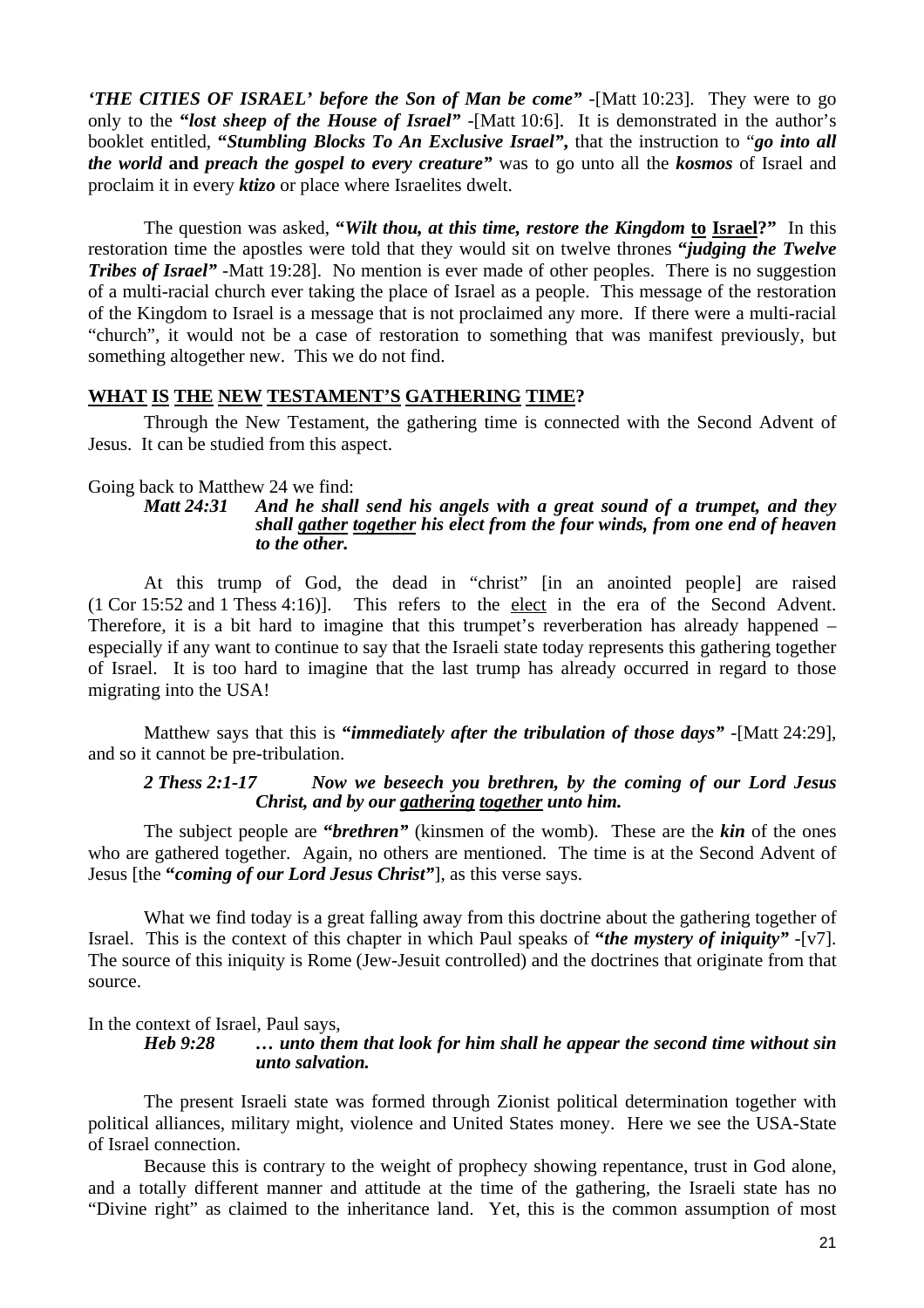*'THE CITIES OF ISRAEL' before the Son of Man be come" -*[Matt 10:23]. They were to go only to the **"***lost sheep of the House of Israel" -*[Matt 10:6]. It is demonstrated in the author's booklet entitled, **"***Stumbling Blocks To An Exclusive Israel"***,** that the instruction to "*go into all the world* **and** *preach the gospel to every creature"* was to go unto all the *kosmos* of Israel and proclaim it in every *ktizo* or place where Israelites dwelt.

The question was asked, **"***Wilt thou, at this time, restore the Kingdom* **to Israel?"** In this restoration time the apostles were told that they would sit on twelve thrones **"***judging the Twelve Tribes of Israel* -Matt 19:28]. No mention is ever made of other peoples. There is no suggestion of a multi-racial church ever taking the place of Israel as a people. This message of the restoration of the Kingdom to Israel is a message that is not proclaimed any more. If there were a multi-racial "church", it would not be a case of restoration to something that was manifest previously, but something altogether new. This we do not find.

### **WHAT IS THE NEW TESTAMENT'S GATHERING TIME?**

Through the New Testament, the gathering time is connected with the Second Advent of Jesus. It can be studied from this aspect.

#### Going back to Matthew 24 we find:

#### *Matt 24:31 And he shall send his angels with a great sound of a trumpet, and they shall gather together his elect from the four winds, from one end of heaven to the other.*

At this trump of God, the dead in "christ" [in an anointed people] are raised (1 Cor 15:52 and 1 Thess 4:16)]. This refers to the elect in the era of the Second Advent. Therefore, it is a bit hard to imagine that this trumpet's reverberation has already happened – especially if any want to continue to say that the Israeli state today represents this gathering together of Israel. It is too hard to imagine that the last trump has already occurred in regard to those migrating into the USA!

Matthew says that this is **"***immediately after the tribulation of those days" -*[Matt 24:29], and so it cannot be pre-tribulation.

### *2 Thess 2:1-17 Now we beseech you brethren, by the coming of our Lord Jesus Christ, and by our gathering together unto him.*

The subject people are **"***brethren"* (kinsmen of the womb). These are the *kin* of the ones who are gathered together. Again, no others are mentioned. The time is at the Second Advent of Jesus [the **"***coming of our Lord Jesus Christ"*], as this verse says.

What we find today is a great falling away from this doctrine about the gathering together of Israel. This is the context of this chapter in which Paul speaks of **"***the mystery of iniquity"* -[v7]. The source of this iniquity is Rome (Jew-Jesuit controlled) and the doctrines that originate from that source.

In the context of Israel, Paul says,<br>Heb 9:28 ... unto the

#### *Hebritanic 1...* unto them that look for him shall he appear the second time without sin *unto salvation.*

The present Israeli state was formed through Zionist political determination together with political alliances, military might, violence and United States money. Here we see the USA-State of Israel connection.

Because this is contrary to the weight of prophecy showing repentance, trust in God alone, and a totally different manner and attitude at the time of the gathering, the Israeli state has no "Divine right" as claimed to the inheritance land. Yet, this is the common assumption of most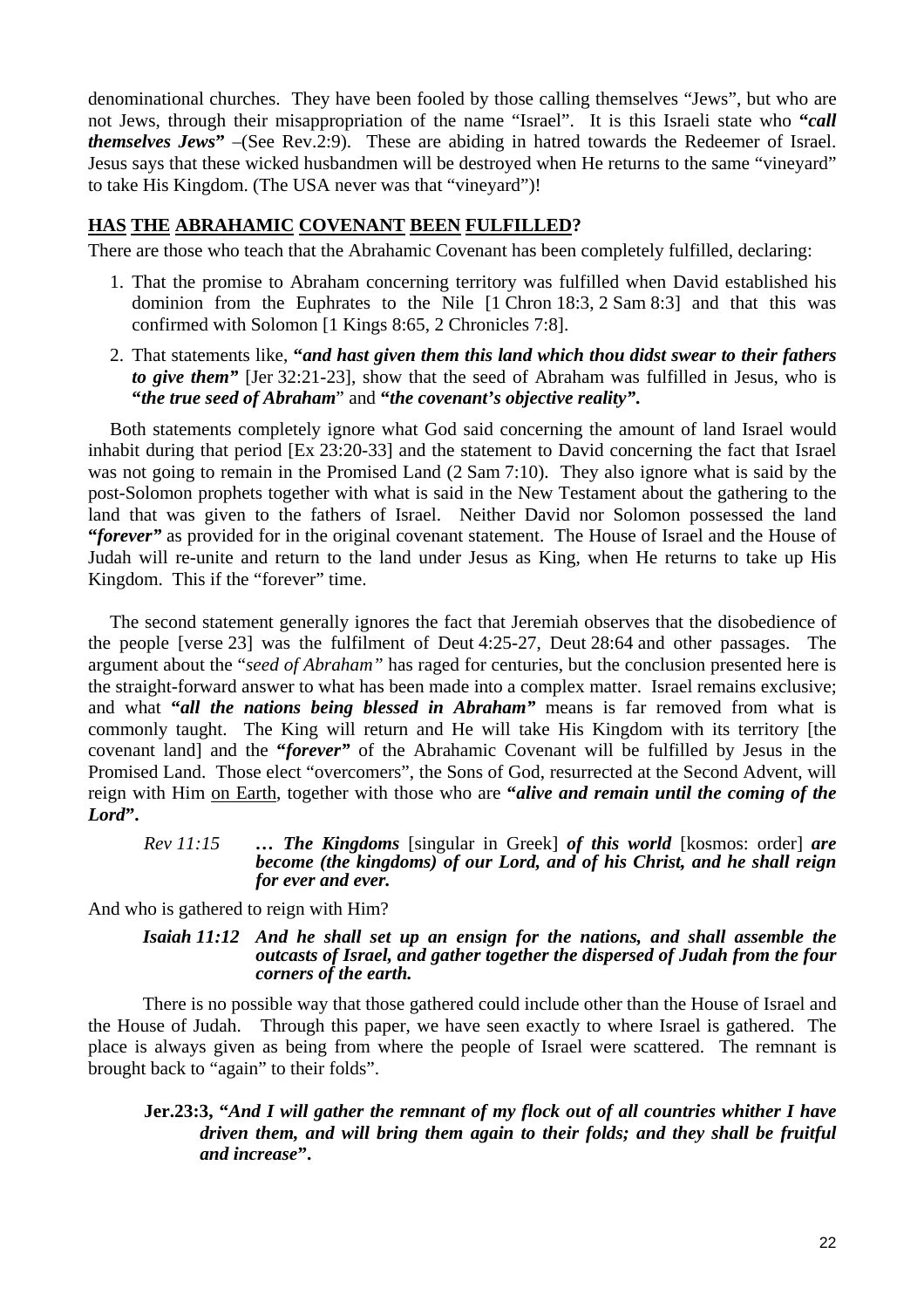denominational churches. They have been fooled by those calling themselves "Jews", but who are not Jews, through their misappropriation of the name "Israel". It is this Israeli state who **"***call themselves Jews***"** –(See Rev.2:9). These are abiding in hatred towards the Redeemer of Israel. Jesus says that these wicked husbandmen will be destroyed when He returns to the same "vineyard" to take His Kingdom. (The USA never was that "vineyard")!

# **HAS THE ABRAHAMIC COVENANT BEEN FULFILLED?**

There are those who teach that the Abrahamic Covenant has been completely fulfilled, declaring:

- 1. That the promise to Abraham concerning territory was fulfilled when David established his dominion from the Euphrates to the Nile [1 Chron 18:3, 2 Sam 8:3] and that this was confirmed with Solomon [1 Kings 8:65, 2 Chronicles 7:8].
- 2. That statements like, **"***and hast given them this land which thou didst swear to their fathers to give them*" [Jer 32:21-23], show that the seed of Abraham was fulfilled in Jesus, who is **"***the true seed of Abraham*" and **"***the covenant's objective reality"***.**

Both statements completely ignore what God said concerning the amount of land Israel would inhabit during that period [Ex 23:20-33] and the statement to David concerning the fact that Israel was not going to remain in the Promised Land (2 Sam 7:10). They also ignore what is said by the post-Solomon prophets together with what is said in the New Testament about the gathering to the land that was given to the fathers of Israel. Neither David nor Solomon possessed the land **"***forever"* as provided for in the original covenant statement. The House of Israel and the House of Judah will re-unite and return to the land under Jesus as King, when He returns to take up His Kingdom. This if the "forever" time.

The second statement generally ignores the fact that Jeremiah observes that the disobedience of the people [verse 23] was the fulfilment of Deut 4:25-27, Deut 28:64 and other passages. The argument about the "*seed of Abraham"* has raged for centuries, but the conclusion presented here is the straight-forward answer to what has been made into a complex matter. Israel remains exclusive; and what **"***all the nations being blessed in Abraham"* means is far removed from what is commonly taught. The King will return and He will take His Kingdom with its territory [the covenant land] and the **"***forever"* of the Abrahamic Covenant will be fulfilled by Jesus in the Promised Land. Those elect "overcomers", the Sons of God, resurrected at the Second Advent, will reign with Him on Earth, together with those who are **"***alive and remain until the coming of the Lord***".**

### *Rev 11:15 … The Kingdoms* [singular in Greek] *of this world* [kosmos: order] *are become (the kingdoms) of our Lord, and of his Christ, and he shall reign for ever and ever.*

And who is gathered to reign with Him?

### *Isaiah 11:12 And he shall set up an ensign for the nations, and shall assemble the outcasts of Israel, and gather together the dispersed of Judah from the four corners of the earth.*

There is no possible way that those gathered could include other than the House of Israel and the House of Judah. Through this paper, we have seen exactly to where Israel is gathered. The place is always given as being from where the people of Israel were scattered. The remnant is brought back to "again" to their folds".

### **Jer.23:3, "***And I will gather the remnant of my flock out of all countries whither I have driven them, and will bring them again to their folds; and they shall be fruitful and increase***".**